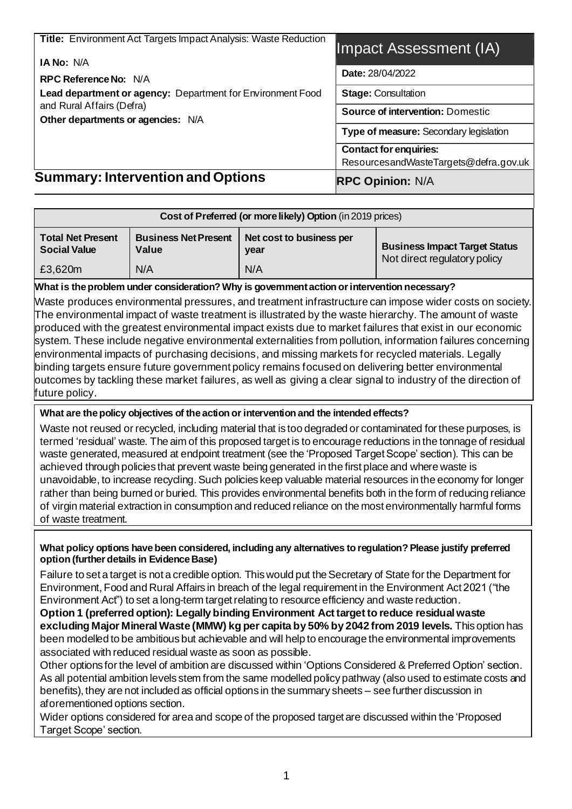| <b>Summary: Intervention and Options</b>                                             | <b>RPC Opinion: N/A</b>                                                                                            |  |  |  |
|--------------------------------------------------------------------------------------|--------------------------------------------------------------------------------------------------------------------|--|--|--|
|                                                                                      | ResourcesandWasteTargets@defra.gov.uk                                                                              |  |  |  |
|                                                                                      | <b>Source of intervention: Domestic</b><br>Type of measure: Secondary legislation<br><b>Contact for enquiries:</b> |  |  |  |
|                                                                                      |                                                                                                                    |  |  |  |
| and Rural Affairs (Defra)<br>Other departments or agencies: N/A                      |                                                                                                                    |  |  |  |
| Lead department or agency: Department for Environment Food                           | <b>Stage: Consultation</b>                                                                                         |  |  |  |
| <b>RPC Reference No: N/A</b>                                                         | <b>Date: 28/04/2022</b>                                                                                            |  |  |  |
| <b>Title:</b> Environment Act Targets Impact Analysis: Waste Reduction<br>IA No: N/A | Impact Assessment (IA)                                                                                             |  |  |  |
|                                                                                      |                                                                                                                    |  |  |  |

| Cost of Preferred (or more likely) Option (in 2019 prices) |                                      |                                  |                                                                      |  |  |  |
|------------------------------------------------------------|--------------------------------------|----------------------------------|----------------------------------------------------------------------|--|--|--|
| <b>Total Net Present</b><br><b>Social Value</b>            | <b>Business Net Present</b><br>Value | Net cost to business per<br>year | <b>Business Impact Target Status</b><br>Not direct regulatory policy |  |  |  |
| £3,620m                                                    | N/A                                  | N/A                              |                                                                      |  |  |  |

#### **What is the problem under consideration? Why is government action or intervention necessary?**

Waste produces environmental pressures, and treatment infrastructure can impose wider costs on society. The environmental impact of waste treatment is illustrated by the waste hierarchy. The amount of waste produced with the greatest environmental impact exists due to market failures that exist in our economic system. These include negative environmental externalities from pollution, information failures concerning environmental impacts of purchasing decisions, and missing markets for recycled materials. Legally binding targets ensure future government policy remains focused on delivering better environmental  $\,$ outcomes by tackling these market failures, as well as giving a clear signal to industry of the direction of future policy.

#### **What are the policy objectives of the action or intervention and the intended effects?**

Waste not reused or recycled, including material that is too degraded or contaminated for these purposes, is termed 'residual' waste. The aim of this proposed target is to encourage reductions in the tonnage of residual waste generated, measured at endpoint treatment (see the 'Proposed Target Scope' section). This can be achieved through policies that prevent waste being generated in the first place and where waste is unavoidable, to increase recycling. Such policies keep valuable material resources in the economy for longer rather than being burned or buried. This provides environmental benefits both in the form of reducing reliance of virgin material extraction in consumption and reduced reliance on the most environmentally harmful forms of waste treatment.

#### **What policy options have been considered, including any alternatives to regulation? Please justify preferred option (further details in Evidence Base)**

Failure to set a target is not a credible option. This would put the Secretary of State for the Department for Environment, Food and Rural Affairs in breach of the legal requirement in the Environment Act 2021 ("the Environment Act") to set a long-term target relating to resource efficiency and waste reduction.

**Option 1 (preferred option): Legally binding Environment Act target to reduce residual waste excluding Major Mineral Waste (MMW) kg per capita by 50% by 2042 from 2019 levels.** This option has been modelled to be ambitious but achievable and will help to encourage the environmental improvements associated with reduced residual waste as soon as possible.

Other options for the level of ambition are discussed within 'Options Considered & Preferred Option' section. As all potential ambition levels stem from the same modelled policy pathway (also used to estimate costs and benefits), they are not included as official options in the summary sheets – see further discussion in aforementioned options section.

Wider options considered for area and scope of the proposed target are discussed within the 'Proposed Target Scope' section.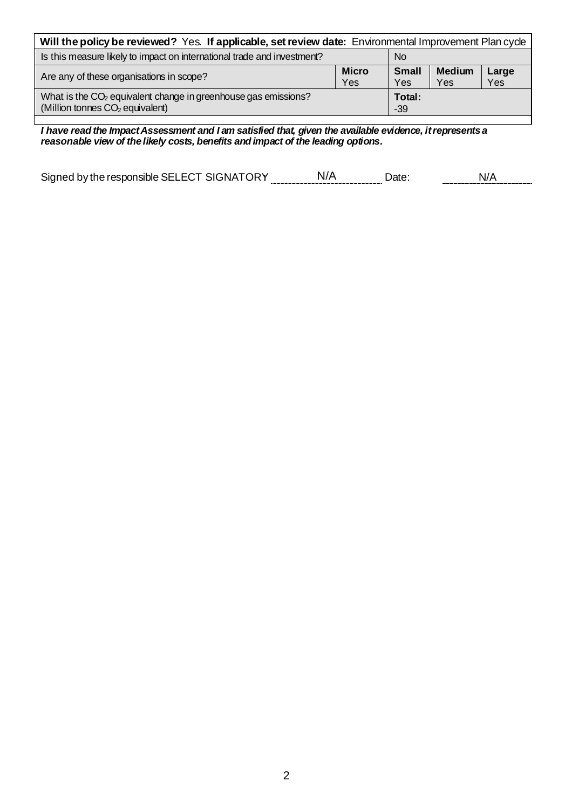| Will the policy be reviewed? Yes. If applicable, set review date: Environmental Improvement Plan cycle                    |                     |                     |                      |              |  |  |  |
|---------------------------------------------------------------------------------------------------------------------------|---------------------|---------------------|----------------------|--------------|--|--|--|
| Is this measure likely to impact on international trade and investment?<br><b>No</b>                                      |                     |                     |                      |              |  |  |  |
| Are any of these organisations in scope?                                                                                  | <b>Micro</b><br>Yes | <b>Small</b><br>Yes | <b>Medium</b><br>Yes | Large<br>Yes |  |  |  |
| What is the CO <sub>2</sub> equivalent change in greenhouse gas emissions?<br>(Million tonnes CO <sub>2</sub> equivalent) |                     | Total:<br>$-39$     |                      |              |  |  |  |

N/A *I have read the Impact Assessment and I am satisfied that, given the available evidence, it represents a reasonable view of the likely costs, benefits and impact of the leading options.*

|                                            | ,,,,,,,,,,,,,,,,,,,,,,,,,,,,,,,,, |      |      |
|--------------------------------------------|-----------------------------------|------|------|
| Signed by the responsible SELECT SIGNATORY | 'N                                | )ate | . п. |
|                                            |                                   |      |      |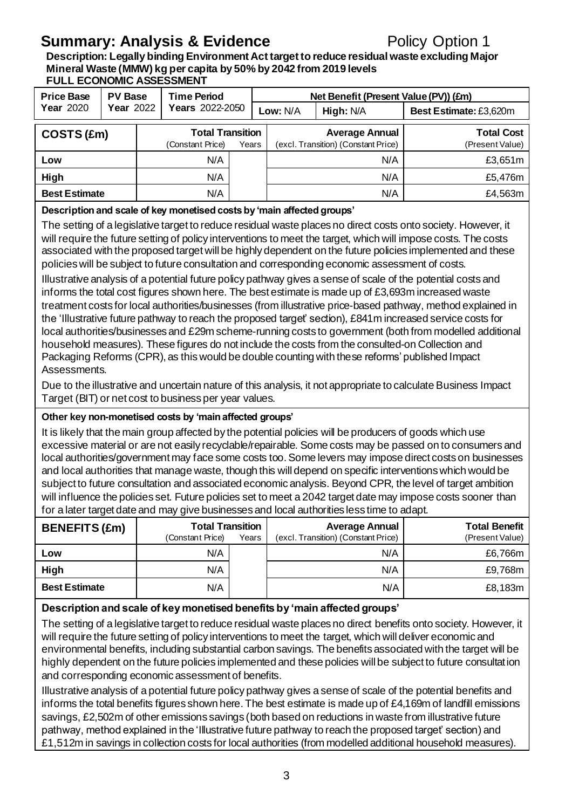### **Summary: Analysis & Evidence** Policy Option 1

**Description: Legally binding Environment Act target to reduce residual waste excluding Major Mineral Waste (MMW) kg per capita by 50% by 2042 from 2019 levels FULL ECONOMIC ASSESSMENT**

| <b>Price Base</b>    | <b>PV Base</b> | <b>Time Period</b>      |       | Net Benefit (Present Value (PV)) (£m) |                                     |  |                        |         |                 |
|----------------------|----------------|-------------------------|-------|---------------------------------------|-------------------------------------|--|------------------------|---------|-----------------|
| <b>Year 2020</b>     | Year 2022      | <b>Years</b> 2022-2050  |       |                                       | High: N/A<br>Low: $N/A$             |  | Best Estimate: £3,620m |         |                 |
| COSTS (£m)           |                | <b>Total Transition</b> |       |                                       | <b>Average Annual</b>               |  | <b>Total Cost</b>      |         |                 |
|                      |                | (Constant Price)        | Years |                                       | (excl. Transition) (Constant Price) |  |                        |         | (Present Value) |
| Low                  |                | N/A                     |       |                                       |                                     |  | N/A                    | £3,651m |                 |
| High                 |                | N/A                     |       |                                       |                                     |  | N/A                    | £5,476m |                 |
| <b>Best Estimate</b> |                | N/A                     |       |                                       |                                     |  | N/A                    | £4,563m |                 |

#### **Description and scale of key monetised costs by 'main affected groups'**

The setting of a legislative target to reduce residual waste places no direct costs onto society. However, it will require the future setting of policy interventions to meet the target, which will impose costs. The costs associated with the proposed target will be highly dependent on the future policies implemented and these policies will be subject to future consultation and corresponding economic assessment of costs.

Illustrative analysis of a potential future policy pathway gives a sense of scale of the potential costs and informs the total cost figures shown here. The best estimate is made up of £3,693m increased waste treatment costs for local authorities/businesses (from illustrative price-based pathway, method explained in the 'Illustrative future pathway to reach the proposed target' section), £841m increased service costs for local authorities/businesses and £29m scheme-running costs to government (both from modelled additional household measures). These figures do not include the costs from the consulted-on Collection and Packaging Reforms (CPR), as this would be double counting with these reforms' published Impact Assessments.

Due to the illustrative and uncertain nature of this analysis, it not appropriate to calculate Business Impact Target (BIT) or net cost to business per year values.

#### **Other key non-monetised costs by 'main affected groups'**

It is likely that the main group affected by the potential policies will be producers of goods which use excessive material or are not easily recyclable/repairable. Some costs may be passed on to consumers and local authorities/government may face some costs too. Some levers may impose direct costs on businesses and local authorities that manage waste, though this will depend on specific interventions which would be subject to future consultation and associated economic analysis. Beyond CPR, the level of target ambition will influence the policies set. Future policies set to meet a 2042 target date may impose costs sooner than for a later target date and may give businesses and local authorities less time to adapt.

| <b>BENEFITS (£m)</b> | <b>Total Transition</b><br>(Constant Price) | Years | <b>Average Annual</b><br>(excl. Transition) (Constant Price) | <b>Total Benefit</b><br>(Present Value) |
|----------------------|---------------------------------------------|-------|--------------------------------------------------------------|-----------------------------------------|
| Low                  | N/A                                         |       | N/A                                                          | £6,766m                                 |
| High                 | N/A                                         |       | N/A                                                          | £9,768m                                 |
| <b>Best Estimate</b> | N/A                                         |       | N/A                                                          | £8,183m                                 |

#### **Description and scale of key monetised benefits by 'main affected groups'**

The setting of a legislative target to reduce residual waste places no direct benefits onto society. However, it will require the future setting of policy interventions to meet the target, which will deliver economic and environmental benefits, including substantial carbon savings. The benefits associated with the target will be highly dependent on the future policies implemented and these policies will be subject to future consultation and corresponding economic assessment of benefits.

Illustrative analysis of a potential future policy pathway gives a sense of scale of the potential benefits and informs the total benefits figures shown here. The best estimate is made up of £4,169m of landfill emissions savings, £2,502m of other emissions savings (both based on reductions in waste from illustrative future pathway, method explained in the 'Illustrative future pathway to reach the proposed target' section) and £1,512m in savings in collection costs for local authorities (from modelled additional household measures).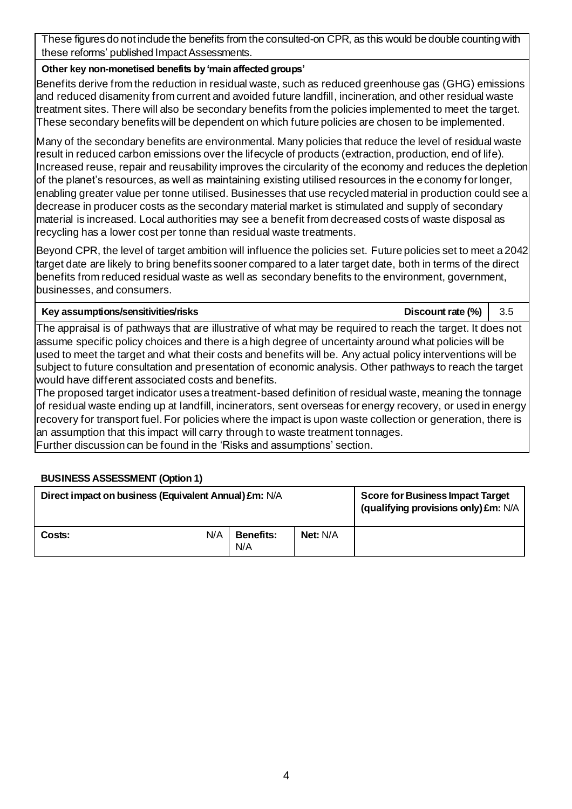These figures do not include the benefits from the consulted-on CPR, as this would be double counting with these reforms' published Impact Assessments.

#### **Other key non-monetised benefits by 'main affected groups'**

Benefits derive from the reduction in residual waste, such as reduced greenhouse gas (GHG) emissions and reduced disamenity from current and avoided future landfill, incineration, and other residual waste treatment sites. There will also be secondary benefits from the policies implemented to meet the target. These secondary benefits will be dependent on which future policies are chosen to be implemented.

Many of the secondary benefits are environmental. Many policies that reduce the level of residual waste result in reduced carbon emissions over the lifecycle of products (extraction, production, end of life). Increased reuse, repair and reusability improves the circularity of the economy and reduces the depletion of the planet's resources, as well as maintaining existing utilised resources in the economy for longer, enabling greater value per tonne utilised. Businesses that use recycled material in production could see a decrease in producer costs as the secondary material market is stimulated and supply of secondary material is increased. Local authorities may see a benefit from decreased costs of waste disposal as recycling has a lower cost per tonne than residual waste treatments.

Beyond CPR, the level of target ambition will influence the policies set. Future policies set to meet a 2042 target date are likely to bring benefits sooner compared to a later target date, both in terms of the direct benefits from reduced residual waste as well as secondary benefits to the environment, government, businesses, and consumers.

#### **Key assumptions/sensitivities/risks Discount rate (%)** 3.5

The appraisal is of pathways that are illustrative of what may be required to reach the target. It does not assume specific policy choices and there is a high degree of uncertainty around what policies will be used to meet the target and what their costs and benefits will be. Any actual policy interventions will be subject to future consultation and presentation of economic analysis. Other pathways to reach the target would have different associated costs and benefits.

The proposed target indicator uses a treatment-based definition of residual waste, meaning the tonnage of residual waste ending up at landfill, incinerators, sent overseas for energy recovery, or used in energy recovery for transport fuel. For policies where the impact is upon waste collection or generation, there is an assumption that this impact will carry through to waste treatment tonnages.

Further discussion can be found in the 'Risks and assumptions' section.

#### **BUSINESS ASSESSMENT (Option 1)**

| Direct impact on business (Equivalent Annual) £m: N/A | <b>Score for Business Impact Target</b><br>(qualifying provisions only) £m: N/A |                         |          |  |
|-------------------------------------------------------|---------------------------------------------------------------------------------|-------------------------|----------|--|
| Costs:                                                | N/A                                                                             | <b>Benefits:</b><br>N/A | Net: N/A |  |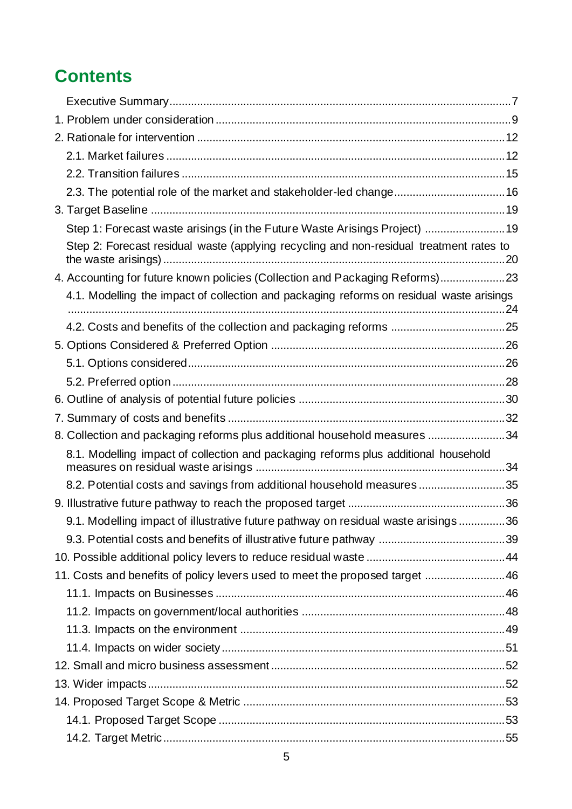## **Contents**

| 2.3. The potential role of the market and stakeholder-led change16                       |  |
|------------------------------------------------------------------------------------------|--|
|                                                                                          |  |
| Step 1: Forecast waste arisings (in the Future Waste Arisings Project) 19                |  |
| Step 2: Forecast residual waste (applying recycling and non-residual treatment rates to  |  |
| 4. Accounting for future known policies (Collection and Packaging Reforms)23             |  |
| 4.1. Modelling the impact of collection and packaging reforms on residual waste arisings |  |
|                                                                                          |  |
|                                                                                          |  |
|                                                                                          |  |
|                                                                                          |  |
|                                                                                          |  |
|                                                                                          |  |
| 8. Collection and packaging reforms plus additional household measures 34                |  |
| 8.1. Modelling impact of collection and packaging reforms plus additional household      |  |
| 8.2. Potential costs and savings from additional household measures 35                   |  |
|                                                                                          |  |
| 9.1. Modelling impact of illustrative future pathway on residual waste arisings 36       |  |
|                                                                                          |  |
|                                                                                          |  |
| 11. Costs and benefits of policy levers used to meet the proposed target 46              |  |
|                                                                                          |  |
|                                                                                          |  |
|                                                                                          |  |
|                                                                                          |  |
|                                                                                          |  |
|                                                                                          |  |
|                                                                                          |  |
|                                                                                          |  |
|                                                                                          |  |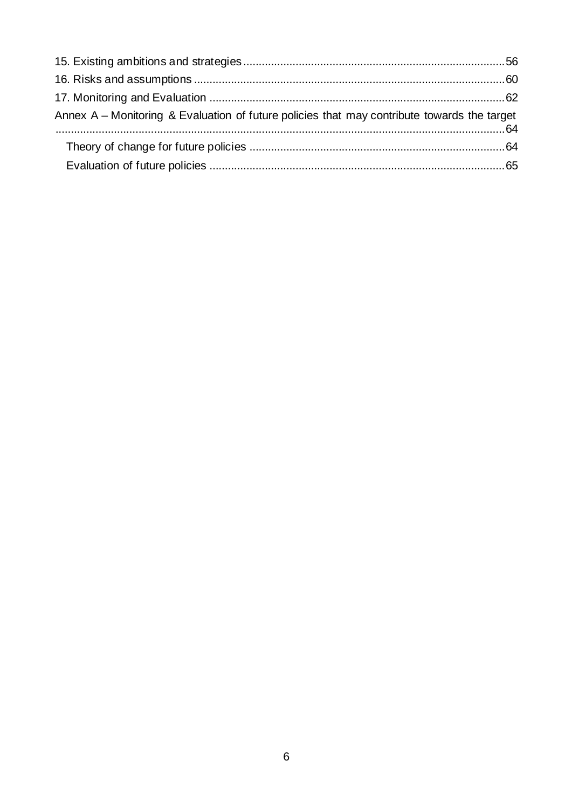| Annex A – Monitoring & Evaluation of future policies that may contribute towards the target |  |
|---------------------------------------------------------------------------------------------|--|
|                                                                                             |  |
|                                                                                             |  |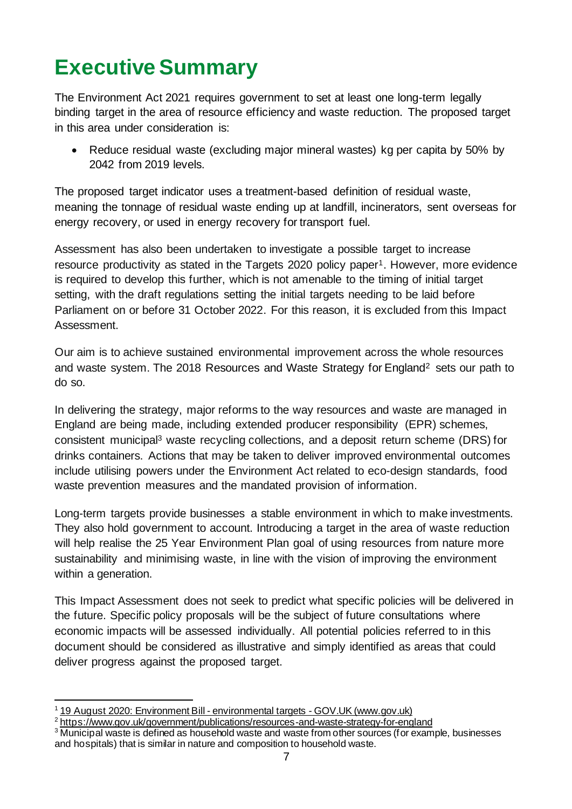## <span id="page-6-0"></span>**Executive Summary**

The Environment Act 2021 requires government to set at least one long-term legally binding target in the area of resource efficiency and waste reduction. The proposed target in this area under consideration is:

• Reduce residual waste (excluding major mineral wastes) kg per capita by 50% by 2042 from 2019 levels.

The proposed target indicator uses a treatment-based definition of residual waste, meaning the tonnage of residual waste ending up at landfill, incinerators, sent overseas for energy recovery, or used in energy recovery for transport fuel.

Assessment has also been undertaken to investigate a possible target to increase resource productivity as stated in the Targets 2020 policy paper1. However, more evidence is required to develop this further, which is not amenable to the timing of initial target setting, with the draft regulations setting the initial targets needing to be laid before Parliament on or before 31 October 2022. For this reason, it is excluded from this Impact Assessment.

Our aim is to achieve sustained environmental improvement across the whole resources and waste system. The 2018 Resources and Waste Strategy for England<sup>2</sup> sets our path to do so.

In delivering the strategy, major reforms to the way resources and waste are managed in England are being made, including extended producer responsibility (EPR) schemes, consistent municipal<sup>3</sup> waste recycling collections, and a deposit return scheme (DRS) for drinks containers. Actions that may be taken to deliver improved environmental outcomes include utilising powers under the Environment Act related to eco-design standards, food waste prevention measures and the mandated provision of information.

Long-term targets provide businesses a stable environment in which to make investments. They also hold government to account. Introducing a target in the area of waste reduction will help realise the 25 Year Environment Plan goal of using resources from nature more sustainability and minimising waste, in line with the vision of improving the environment within a generation.

This Impact Assessment does not seek to predict what specific policies will be delivered in the future. Specific policy proposals will be the subject of future consultations where economic impacts will be assessed individually. All potential policies referred to in this document should be considered as illustrative and simply identified as areas that could deliver progress against the proposed target.

[<sup>19</sup> August 2020: Environment Bill -](https://www.gov.uk/government/publications/environment-bill-2020/august-2020-environment-bill-environmental-targets) environmental targets - GOV.UK (www.gov.uk)

<sup>2</sup> <https://www.gov.uk/government/publications/resources-and-waste-strategy-for-england>

<sup>&</sup>lt;sup>3</sup> Municipal waste is defined as household waste and waste from other sources (for example, businesses and hospitals) that is similar in nature and composition to household waste.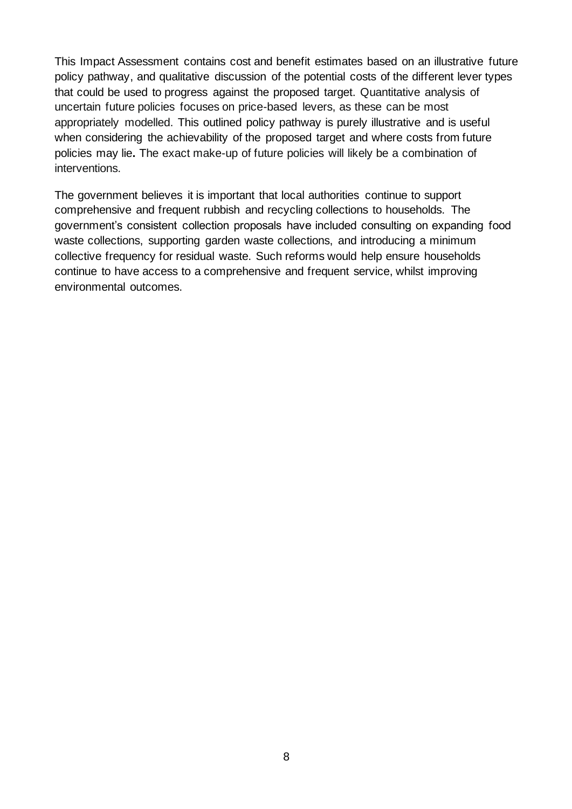This Impact Assessment contains cost and benefit estimates based on an illustrative future policy pathway, and qualitative discussion of the potential costs of the different lever types that could be used to progress against the proposed target. Quantitative analysis of uncertain future policies focuses on price-based levers, as these can be most appropriately modelled. This outlined policy pathway is purely illustrative and is useful when considering the achievability of the proposed target and where costs from future policies may lie**.** The exact make-up of future policies will likely be a combination of interventions.

The government believes it is important that local authorities continue to support comprehensive and frequent rubbish and recycling collections to households. The government's consistent collection proposals have included consulting on expanding food waste collections, supporting garden waste collections, and introducing a minimum collective frequency for residual waste. Such reforms would help ensure households continue to have access to a comprehensive and frequent service, whilst improving environmental outcomes.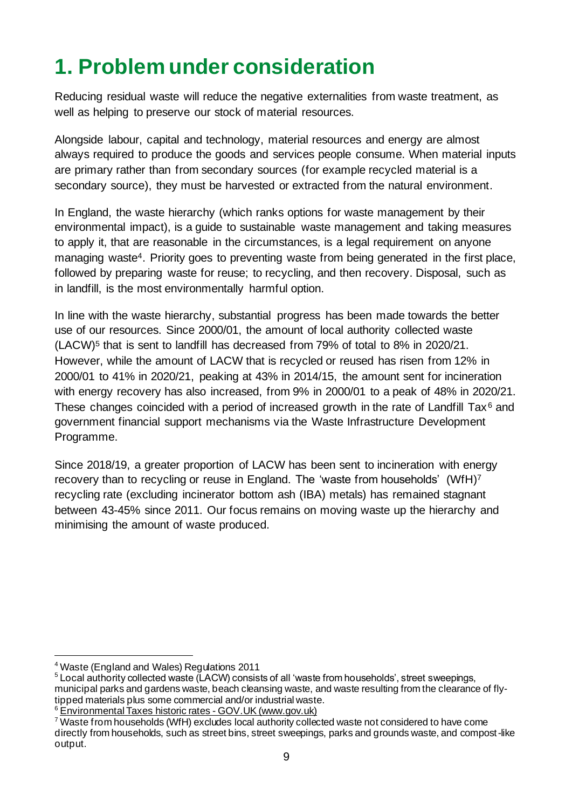## <span id="page-8-0"></span>**1. Problem under consideration**

Reducing residual waste will reduce the negative externalities from waste treatment, as well as helping to preserve our stock of material resources.

Alongside labour, capital and technology, material resources and energy are almost always required to produce the goods and services people consume. When material inputs are primary rather than from secondary sources (for example recycled material is a secondary source), they must be harvested or extracted from the natural environment.

In England, the waste hierarchy (which ranks options for waste management by their environmental impact), is a guide to sustainable waste management and taking measures to apply it, that are reasonable in the circumstances, is a legal requirement on anyone managing waste4. Priority goes to preventing waste from being generated in the first place, followed by preparing waste for reuse; to recycling, and then recovery. Disposal, such as in landfill, is the most environmentally harmful option.

In line with the waste hierarchy, substantial progress has been made towards the better use of our resources. Since 2000/01, the amount of local authority collected waste  $(LACW)^5$  that is sent to landfill has decreased from 79% of total to 8% in 2020/21. However, while the amount of LACW that is recycled or reused has risen from 12% in 2000/01 to 41% in 2020/21, peaking at 43% in 2014/15, the amount sent for incineration with energy recovery has also increased, from 9% in 2000/01 to a peak of 48% in 2020/21. These changes coincided with a period of increased growth in the rate of Landfill Tax<sup>6</sup> and government financial support mechanisms via the Waste Infrastructure Development Programme.

Since 2018/19, a greater proportion of LACW has been sent to incineration with energy recovery than to recycling or reuse in England. The 'waste from households' (WfH)<sup>7</sup> recycling rate (excluding incinerator bottom ash (IBA) metals) has remained stagnant between 43-45% since 2011. Our focus remains on moving waste up the hierarchy and minimising the amount of waste produced.

<sup>4</sup> Waste (England and Wales) Regulations 2011

<sup>&</sup>lt;sup>5</sup> Local authority collected waste (LACW) consists of all 'waste from households', street sweepings, municipal parks and gardens waste, beach cleansing waste, and waste resulting from the clearance of flytipped materials plus some commercial and/or industrial waste.

<sup>&</sup>lt;sup>6</sup> [Environmental Taxes historic rates -](https://www.gov.uk/government/statistics/environmental-taxes-bulletin/environmental-taxes-historic-rates) GOV. UK (www.gov.uk)

<sup>&</sup>lt;sup>7</sup> Waste from households (WfH) excludes local authority collected waste not considered to have come directly from households, such as street bins, street sweepings, parks and grounds waste, and compost-like output.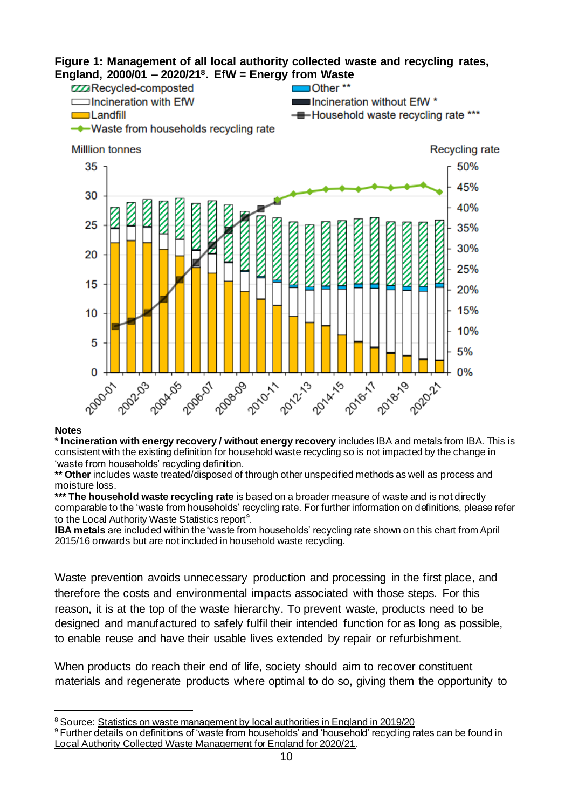

#### **Notes**

\* **Incineration with energy recovery / without energy recovery** includes IBA and metals from IBA. This is consistent with the existing definition for household waste recycling so is not impacted by the change in 'waste from households' recycling definition.

**\*\* Other** includes waste treated/disposed of through other unspecified methods as well as process and moisture loss.

**\*\*\* The household waste recycling rate** is based on a broader measure of waste and is not directly comparable to the 'waste from households' recycling rate. For further information on definitions, please refer to the Local Authority Waste Statistics report<sup>9</sup>.

**IBA metals** are included within the 'waste from households' recycling rate shown on this chart from April 2015/16 onwards but are not included in household waste recycling.

Waste prevention avoids unnecessary production and processing in the first place, and therefore the costs and environmental impacts associated with those steps. For this reason, it is at the top of the waste hierarchy. To prevent waste, products need to be designed and manufactured to safely fulfil their intended function for as long as possible, to enable reuse and have their usable lives extended by repair or refurbishment.

When products do reach their end of life, society should aim to recover constituent materials and regenerate products where optimal to do so, giving them the opportunity to

<sup>&</sup>lt;sup>8</sup> Source: Statistics on waste management by local authorities in England in 2019/20

<sup>&</sup>lt;sup>9</sup> Further details on definitions of 'waste from households' and 'household' recycling rates can be found in [Local Authority Collected Waste Management for England for 2020/21](https://www.gov.uk/government/statistics/local-authority-collected-waste-management-annual-results).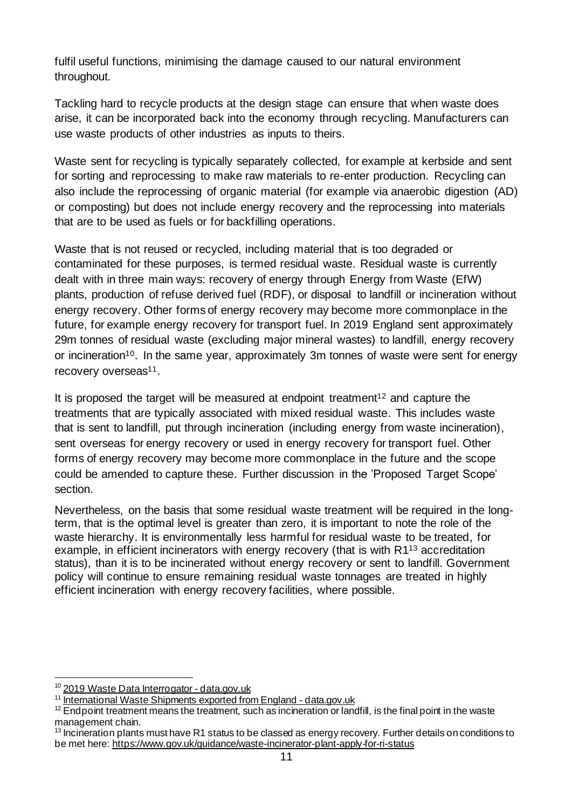fulfil useful functions, minimising the damage caused to our natural environment throughout.

Tackling hard to recycle products at the design stage can ensure that when waste does arise, it can be incorporated back into the economy through recycling. Manufacturers can use waste products of other industries as inputs to theirs.

Waste sent for recycling is typically separately collected, for example at kerbside and sent for sorting and reprocessing to make raw materials to re-enter production. Recycling can also include the reprocessing of organic material (for example via anaerobic digestion (AD) or composting) but does not include energy recovery and the reprocessing into materials that are to be used as fuels or for backfilling operations.

Waste that is not reused or recycled, including material that is too degraded or contaminated for these purposes, is termed residual waste. Residual waste is currently dealt with in three main ways: recovery of energy through Energy from Waste (EfW) plants, production of refuse derived fuel (RDF), or disposal to landfill or incineration without energy recovery. Other forms of energy recovery may become more commonplace in the future, for example energy recovery for transport fuel. In 2019 England sent approximately 29m tonnes of residual waste (excluding major mineral wastes) to landfill, energy recovery or incineration<sup>10</sup>. In the same year, approximately 3m tonnes of waste were sent for energy recovery overseas<sup>11</sup>.

It is proposed the target will be measured at endpoint treatment<sup>12</sup> and capture the treatments that are typically associated with mixed residual waste. This includes waste that is sent to landfill, put through incineration (including energy from waste incineration), sent overseas for energy recovery or used in energy recovery for transport fuel. Other forms of energy recovery may become more commonplace in the future and the scope could be amended to capture these. Further discussion in the 'Proposed Target Scope' section.

Nevertheless, on the basis that some residual waste treatment will be required in the longterm, that is the optimal level is greater than zero, it is important to note the role of the waste hierarchy. It is environmentally less harmful for residual waste to be treated, for example, in efficient incinerators with energy recovery (that is with R1<sup>13</sup> accreditation status), than it is to be incinerated without energy recovery or sent to landfill. Government policy will continue to ensure remaining residual waste tonnages are treated in highly efficient incineration with energy recovery facilities, where possible.

<sup>&</sup>lt;sup>10</sup> [2019 Waste Data Interrogator -](https://data.gov.uk/dataset/d409b2ba-796c-4436-82c7-eb1831a9ef25/2019-waste-data-interrogator) data.gov.uk

<sup>11</sup> [International Waste Shipments exported from England -](https://data.gov.uk/dataset/5ffdf701-05c2-43b8-ba1e-e65580bbcc08/international-waste-shipments-exported-from-england) data.gov.uk

<sup>&</sup>lt;sup>12</sup> Endpoint treatment means the treatment, such as incineration or landfill, is the final point in the waste management chain.

<sup>&</sup>lt;sup>13</sup> Incineration plants must have R1 status to be classed as energy recovery. Further details on conditions to be met here[: https://www.gov.uk/guidance/waste-incinerator-plant-apply-for-ri-status](https://www.gov.uk/guidance/waste-incinerator-plant-apply-for-ri-status)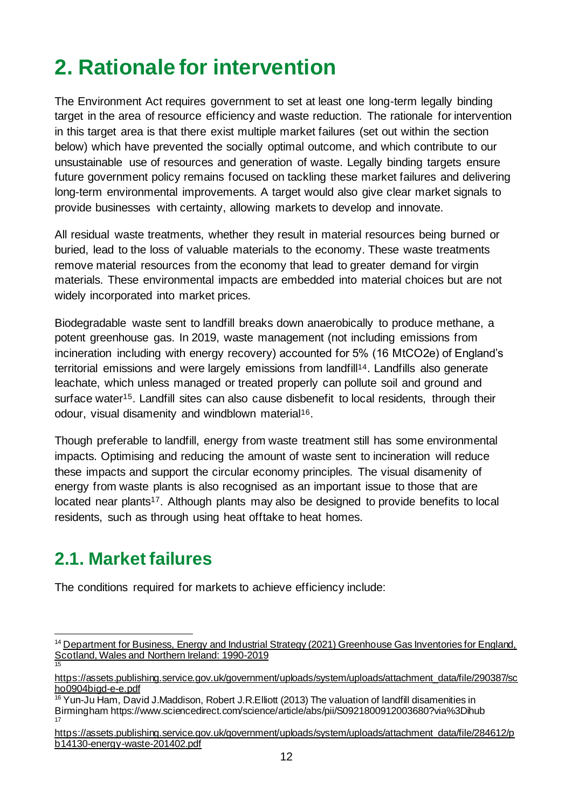## <span id="page-11-0"></span>**2. Rationale for intervention**

The Environment Act requires government to set at least one long-term legally binding target in the area of resource efficiency and waste reduction. The rationale for intervention in this target area is that there exist multiple market failures (set out within the section below) which have prevented the socially optimal outcome, and which contribute to our unsustainable use of resources and generation of waste. Legally binding targets ensure future government policy remains focused on tackling these market failures and delivering long-term environmental improvements. A target would also give clear market signals to provide businesses with certainty, allowing markets to develop and innovate.

All residual waste treatments, whether they result in material resources being burned or buried, lead to the loss of valuable materials to the economy. These waste treatments remove material resources from the economy that lead to greater demand for virgin materials. These environmental impacts are embedded into material choices but are not widely incorporated into market prices.

Biodegradable waste sent to landfill breaks down anaerobically to produce methane, a potent greenhouse gas. In 2019, waste management (not including emissions from incineration including with energy recovery) accounted for 5% (16 MtCO2e) of England's territorial emissions and were largely emissions from landfill<sup>14</sup>. Landfills also generate leachate, which unless managed or treated properly can pollute soil and ground and surface water<sup>15</sup>. Landfill sites can also cause disbenefit to local residents, through their odour, visual disamenity and windblown material<sup>16</sup>.

Though preferable to landfill, energy from waste treatment still has some environmental impacts. Optimising and reducing the amount of waste sent to incineration will reduce these impacts and support the circular economy principles. The visual disamenity of energy from waste plants is also recognised as an important issue to those that are located near plants<sup>17</sup>. Although plants may also be designed to provide benefits to local residents, such as through using heat offtake to heat homes.

## <span id="page-11-1"></span>**2.1. Market failures**

The conditions required for markets to achieve efficiency include:

<sup>&</sup>lt;sup>14</sup> Department for Business, Energy and Industrial Strategy (2021) Greenhouse Gas Inventories for England, [Scotland, Wales and Northern Ireland: 1990-2019](https://naei.beis.gov.uk/reports/reports?report_id=1019) 15

[https://assets.publishing.service.gov.uk/government/uploads/system/uploads/attachment\\_data/file/290387/sc](https://assets.publishing.service.gov.uk/government/uploads/system/uploads/attachment_data/file/290387/scho0904bigd-e-e.pdf) [ho0904bigd-e-e.pdf](https://assets.publishing.service.gov.uk/government/uploads/system/uploads/attachment_data/file/290387/scho0904bigd-e-e.pdf)

<sup>&</sup>lt;sup>16</sup> Yun-Ju Ham, David J.Maddison, Robert J.R.Elliott (2013) The valuation of landfill disamenities in Birmingham https://www.sciencedirect.com/science/article/abs/pii/S0921800912003680?via%3Dihub 17

[https://assets.publishing.service.gov.uk/government/uploads/system/uploads/attachment\\_data/file/284612/p](https://assets.publishing.service.gov.uk/government/uploads/system/uploads/attachment_data/file/284612/pb14130-energy-waste-201402.pdf) [b14130-energy-waste-201402.pdf](https://assets.publishing.service.gov.uk/government/uploads/system/uploads/attachment_data/file/284612/pb14130-energy-waste-201402.pdf)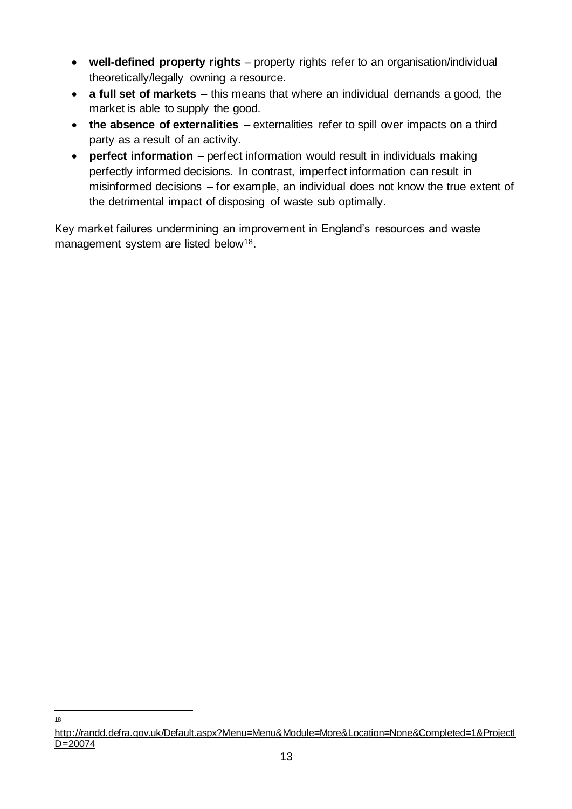- **well-defined property rights** property rights refer to an organisation/individual theoretically/legally owning a resource.
- **a full set of markets** this means that where an individual demands a good, the market is able to supply the good.
- **the absence of externalities** externalities refer to spill over impacts on a third party as a result of an activity.
- **perfect information** perfect information would result in individuals making perfectly informed decisions. In contrast, imperfect information can result in misinformed decisions – for example, an individual does not know the true extent of the detrimental impact of disposing of waste sub optimally.

Key market failures undermining an improvement in England's resources and waste management system are listed below<sup>18</sup>.

18

[http://randd.defra.gov.uk/Default.aspx?Menu=Menu&Module=More&Location=None&Completed=1&ProjectI](http://randd.defra.gov.uk/Default.aspx?Menu=Menu&Module=More&Location=None&Completed=1&ProjectID=20074) [D=20074](http://randd.defra.gov.uk/Default.aspx?Menu=Menu&Module=More&Location=None&Completed=1&ProjectID=20074)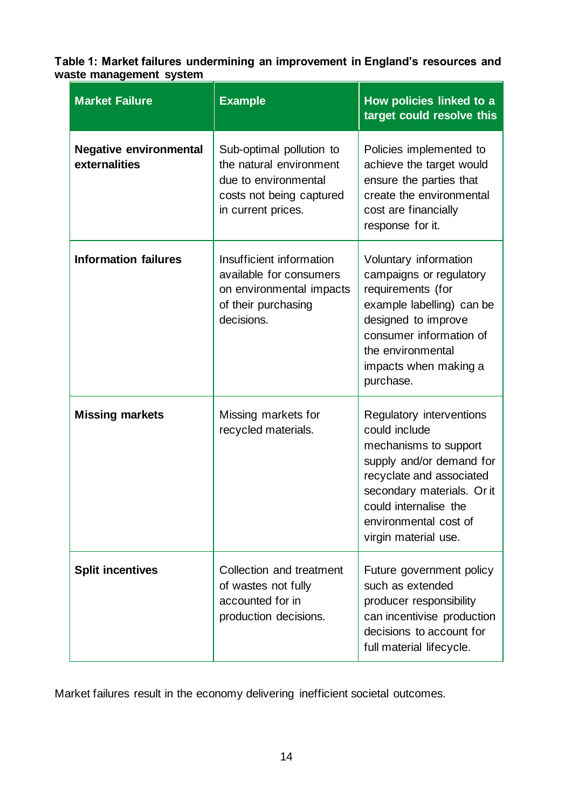#### **Table 1: Market failures undermining an improvement in England's resources and waste management system**

| <b>Market Failure</b>                          | <b>Example</b>                                                                                                                | How policies linked to a<br>target could resolve this                                                                                                                                                                              |
|------------------------------------------------|-------------------------------------------------------------------------------------------------------------------------------|------------------------------------------------------------------------------------------------------------------------------------------------------------------------------------------------------------------------------------|
| <b>Negative environmental</b><br>externalities | Sub-optimal pollution to<br>the natural environment<br>due to environmental<br>costs not being captured<br>in current prices. | Policies implemented to<br>achieve the target would<br>ensure the parties that<br>create the environmental<br>cost are financially<br>response for it.                                                                             |
| <b>Information failures</b>                    | Insufficient information<br>available for consumers<br>on environmental impacts<br>of their purchasing<br>decisions.          | Voluntary information<br>campaigns or regulatory<br>requirements (for<br>example labelling) can be<br>designed to improve<br>consumer information of<br>the environmental<br>impacts when making a<br>purchase.                    |
| <b>Missing markets</b>                         | Missing markets for<br>recycled materials.                                                                                    | Regulatory interventions<br>could include<br>mechanisms to support<br>supply and/or demand for<br>recyclate and associated<br>secondary materials. Or it<br>could internalise the<br>environmental cost of<br>virgin material use. |
| <b>Split incentives</b>                        | Collection and treatment<br>of wastes not fully<br>accounted for in<br>production decisions.                                  | Future government policy<br>such as extended<br>producer responsibility<br>can incentivise production<br>decisions to account for<br>full material lifecycle.                                                                      |

Market failures result in the economy delivering inefficient societal outcomes.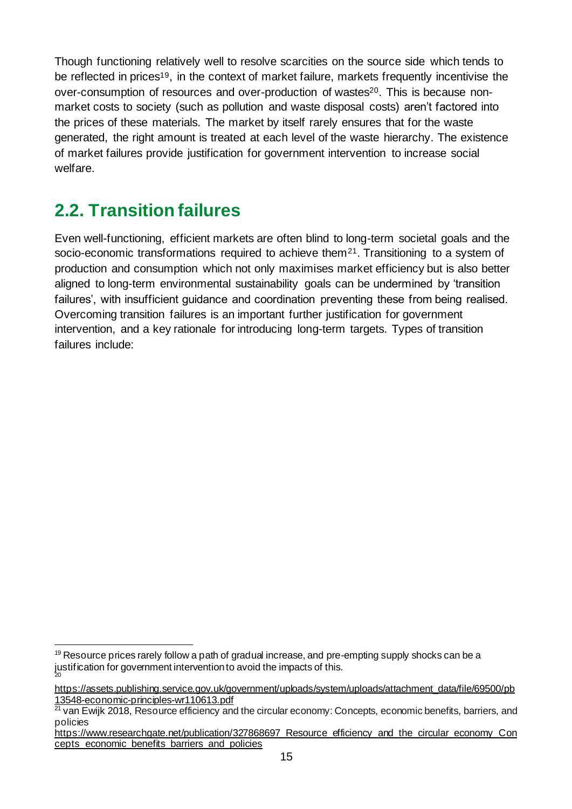Though functioning relatively well to resolve scarcities on the source side which tends to be reflected in prices<sup>19</sup>, in the context of market failure, markets frequently incentivise the over-consumption of resources and over-production of wastes<sup>20</sup>. This is because nonmarket costs to society (such as pollution and waste disposal costs) aren't factored into the prices of these materials. The market by itself rarely ensures that for the waste generated, the right amount is treated at each level of the waste hierarchy. The existence of market failures provide justification for government intervention to increase social welfare.

## <span id="page-14-0"></span>**2.2. Transition failures**

Even well-functioning, efficient markets are often blind to long-term societal goals and the socio-economic transformations required to achieve them<sup>21</sup>. Transitioning to a system of production and consumption which not only maximises market efficiency but is also better aligned to long-term environmental sustainability goals can be undermined by 'transition failures', with insufficient guidance and coordination preventing these from being realised. Overcoming transition failures is an important further justification for government intervention, and a key rationale for introducing long-term targets. Types of transition failures include:

<sup>&</sup>lt;sup>19</sup> Resource prices rarely follow a path of gradual increase, and pre-empting supply shocks can be a justification for government intervention to avoid the impacts of this. 20

[https://assets.publishing.service.gov.uk/government/uploads/system/uploads/attachment\\_data/file/69500/pb](https://assets.publishing.service.gov.uk/government/uploads/system/uploads/attachment_data/file/69500/pb13548-economic-principles-wr110613.pdf) [13548-economic-principles-wr110613.pdf](https://assets.publishing.service.gov.uk/government/uploads/system/uploads/attachment_data/file/69500/pb13548-economic-principles-wr110613.pdf)

<sup>&</sup>lt;sup>21</sup> van Ewijk 2018, Resource efficiency and the circular economy: Concepts, economic benefits, barriers, and policies

https://www.researchgate.net/publication/327868697 Resource efficiency and the circular economy Con [cepts\\_economic\\_benefits\\_barriers\\_and\\_policies](https://www.researchgate.net/publication/327868697_Resource_efficiency_and_the_circular_economy_Concepts_economic_benefits_barriers_and_policies)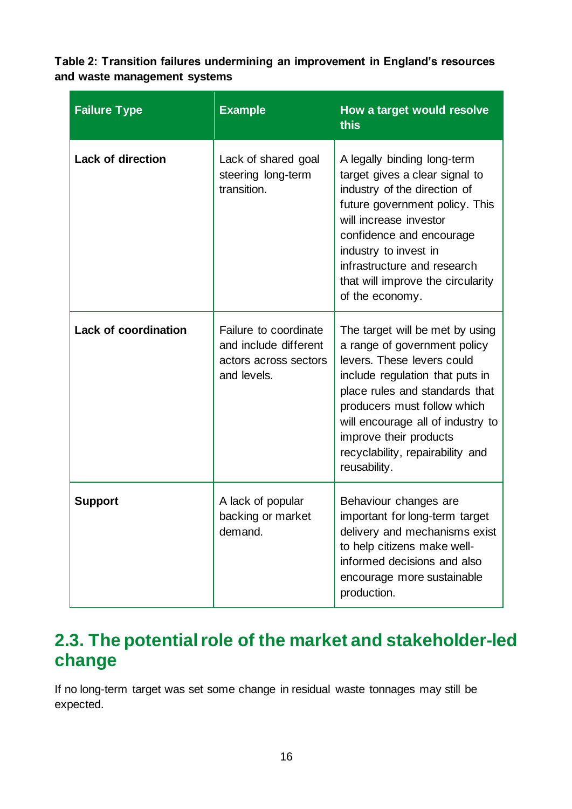**Table 2: Transition failures undermining an improvement in England's resources and waste management systems**

| <b>Failure Type</b>         | <b>Example</b>                                                                         | How a target would resolve<br>this                                                                                                                                                                                                                                                                                   |  |  |
|-----------------------------|----------------------------------------------------------------------------------------|----------------------------------------------------------------------------------------------------------------------------------------------------------------------------------------------------------------------------------------------------------------------------------------------------------------------|--|--|
| <b>Lack of direction</b>    | Lack of shared goal<br>steering long-term<br>transition.                               | A legally binding long-term<br>target gives a clear signal to<br>industry of the direction of<br>future government policy. This<br>will increase investor<br>confidence and encourage<br>industry to invest in<br>infrastructure and research<br>that will improve the circularity<br>of the economy.                |  |  |
| <b>Lack of coordination</b> | Failure to coordinate<br>and include different<br>actors across sectors<br>and levels. | The target will be met by using<br>a range of government policy<br>levers. These levers could<br>include regulation that puts in<br>place rules and standards that<br>producers must follow which<br>will encourage all of industry to<br>improve their products<br>recyclability, repairability and<br>reusability. |  |  |
| <b>Support</b>              | A lack of popular<br>backing or market<br>demand.                                      | Behaviour changes are<br>important for long-term target<br>delivery and mechanisms exist<br>to help citizens make well-<br>informed decisions and also<br>encourage more sustainable<br>production.                                                                                                                  |  |  |

### <span id="page-15-0"></span>**2.3. The potential role of the market and stakeholder-led change**

If no long-term target was set some change in residual waste tonnages may still be expected.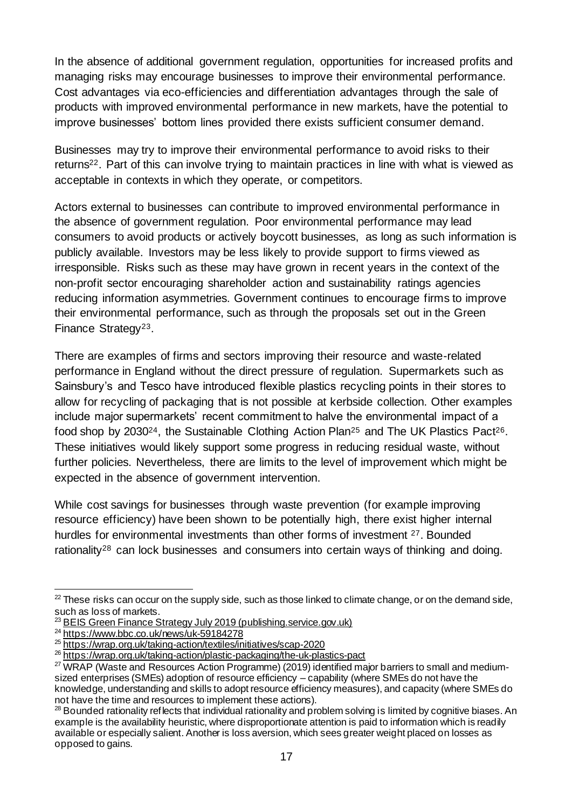In the absence of additional government regulation, opportunities for increased profits and managing risks may encourage businesses to improve their environmental performance. Cost advantages via eco-efficiencies and differentiation advantages through the sale of products with improved environmental performance in new markets, have the potential to improve businesses' bottom lines provided there exists sufficient consumer demand.

Businesses may try to improve their environmental performance to avoid risks to their returns22. Part of this can involve trying to maintain practices in line with what is viewed as acceptable in contexts in which they operate, or competitors.

Actors external to businesses can contribute to improved environmental performance in the absence of government regulation. Poor environmental performance may lead consumers to avoid products or actively boycott businesses, as long as such information is publicly available. Investors may be less likely to provide support to firms viewed as irresponsible. Risks such as these may have grown in recent years in the context of the non-profit sector encouraging shareholder action and sustainability ratings agencies reducing information asymmetries. Government continues to encourage firms to improve their environmental performance, such as through the proposals set out in the Green Finance Strategy<sup>23</sup>.

There are examples of firms and sectors improving their resource and waste-related performance in England without the direct pressure of regulation. Supermarkets such as Sainsbury's and Tesco have introduced flexible plastics recycling points in their stores to allow for recycling of packaging that is not possible at kerbside collection. Other examples include major supermarkets' recent commitment to halve the environmental impact of a food shop by 2030<sup>24</sup>, the Sustainable Clothing Action Plan<sup>25</sup> and The UK Plastics Pact<sup>26</sup>. These initiatives would likely support some progress in reducing residual waste, without further policies. Nevertheless, there are limits to the level of improvement which might be expected in the absence of government intervention.

While cost savings for businesses through waste prevention (for example improving resource efficiency) have been shown to be potentially high, there exist higher internal hurdles for environmental investments than other forms of investment <sup>27</sup>. Bounded rationality<sup>28</sup> can lock businesses and consumers into certain ways of thinking and doing.

 $22$  These risks can occur on the supply side, such as those linked to climate change, or on the demand side, such as loss of markets.

<sup>&</sup>lt;sup>23</sup> [BEIS Green Finance Strategy July 2019 \(publishing.service.gov.uk\)](https://assets.publishing.service.gov.uk/government/uploads/system/uploads/attachment_data/file/820284/190716_BEIS_Green_Finance_Strategy_Accessible_Final.pdf)

<sup>&</sup>lt;sup>24</sup> <https://www.bbc.co.uk/news/uk-59184278>

<sup>25</sup> <https://wrap.org.uk/taking-action/textiles/initiatives/scap-2020>

<sup>26</sup> <https://wrap.org.uk/taking-action/plastic-packaging/the-uk-plastics-pact>

<sup>27</sup> WRAP (Waste and Resources Action Programme) (2019) identified major barriers to small and mediumsized enterprises (SMEs) adoption of resource efficiency – capability (where SMEs do not have the knowledge, understanding and skills to adopt resource efficiency measures), and capacity (where SMEs do not have the time and resources to implement these actions).

<sup>&</sup>lt;sup>28</sup> Bounded rationality reflects that individual rationality and problem solving is limited by cognitive biases. An example is the availability heuristic, where disproportionate attention is paid to information which is readily available or especially salient. Another is loss aversion, which sees greater weight placed on losses as opposed to gains.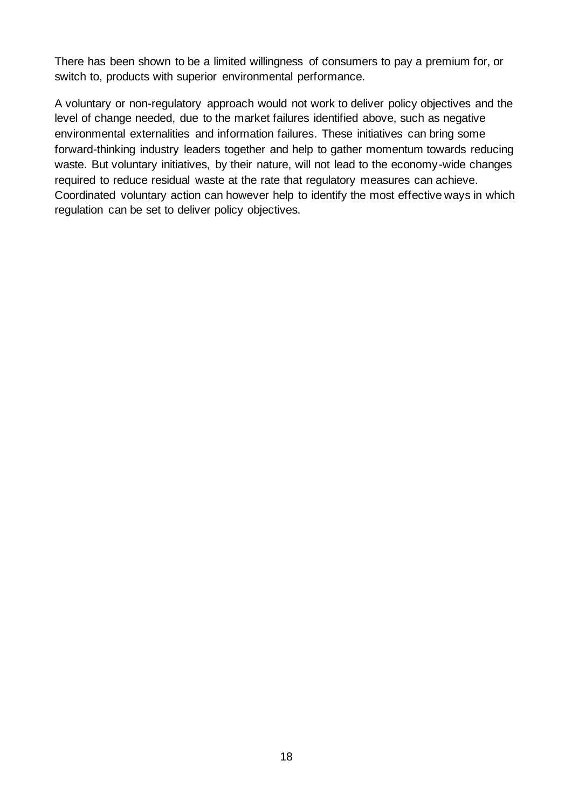There has been shown to be a limited willingness of consumers to pay a premium for, or switch to, products with superior environmental performance.

A voluntary or non-regulatory approach would not work to deliver policy objectives and the level of change needed, due to the market failures identified above, such as negative environmental externalities and information failures. These initiatives can bring some forward-thinking industry leaders together and help to gather momentum towards reducing waste. But voluntary initiatives, by their nature, will not lead to the economy-wide changes required to reduce residual waste at the rate that regulatory measures can achieve. Coordinated voluntary action can however help to identify the most effective ways in which regulation can be set to deliver policy objectives.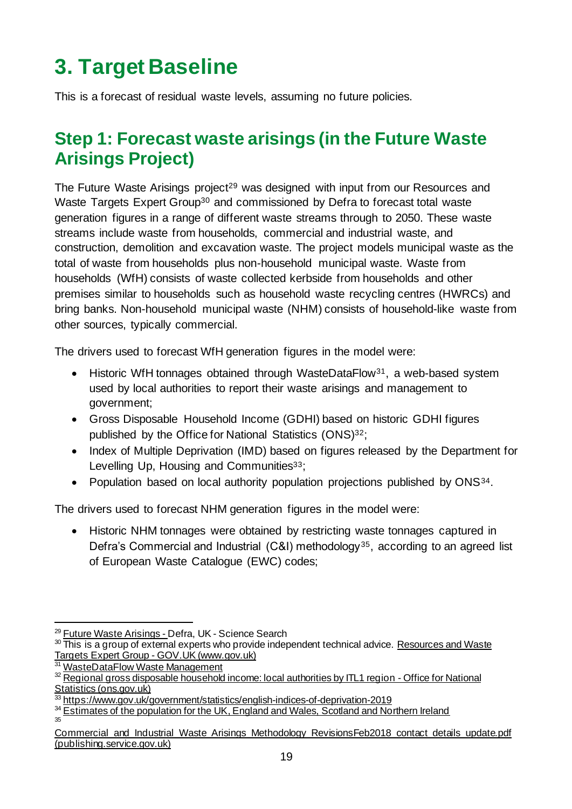# <span id="page-18-0"></span>**3. Target Baseline**

This is a forecast of residual waste levels, assuming no future policies.

### <span id="page-18-1"></span>**Step 1: Forecast waste arisings (in the Future Waste Arisings Project)**

The Future Waste Arisings project<sup>29</sup> was designed with input from our Resources and Waste Targets Expert Group<sup>30</sup> and commissioned by Defra to forecast total waste generation figures in a range of different waste streams through to 2050. These waste streams include waste from households, commercial and industrial waste, and construction, demolition and excavation waste. The project models municipal waste as the total of waste from households plus non-household municipal waste. Waste from households (WfH) consists of waste collected kerbside from households and other premises similar to households such as household waste recycling centres (HWRCs) and bring banks. Non-household municipal waste (NHM) consists of household-like waste from other sources, typically commercial.

The drivers used to forecast WfH generation figures in the model were:

- Historic WfH tonnages obtained through WasteDataFlow<sup>31</sup>, a web-based system used by local authorities to report their waste arisings and management to government;
- Gross Disposable Household Income (GDHI) based on historic GDHI figures published by the Office for National Statistics (ONS) <sup>32</sup>;
- Index of Multiple Deprivation (IMD) based on figures released by the Department for Levelling Up, Housing and Communities<sup>33</sup>;
- Population based on local authority population projections published by ONS34.

The drivers used to forecast NHM generation figures in the model were:

• Historic NHM tonnages were obtained by restricting waste tonnages captured in Defra's Commercial and Industrial (C&I) methodology<sup>35</sup>, according to an agreed list of European Waste Catalogue (EWC) codes;

<sup>&</sup>lt;sup>29</sup> [Future Waste Arisings -](http://sciencesearch.defra.gov.uk/Default.aspx?Menu=Menu&Module=More&Location=None&ProjectID=20915&FromSearch=Y&Publisher=1&SearchText=EV0155&SortString=ProjectCode&SortOrder=Asc&Paging=10#Description) Defra, UK - Science Search

<sup>30</sup> This is a group of external experts who provide independent technical advice. Resources and Waste [Targets Expert Group -](https://www.gov.uk/government/groups/resources-and-waste-targets-expert-group) GOV.UK (www.gov.uk)

<sup>&</sup>lt;sup>31</sup> [WasteDataFlow Waste Management](https://www.wastedataflow.org/)

<sup>32</sup> [Regional gross disposable household income: local authorities by ITL1 region -](https://www.ons.gov.uk/economy/regionalaccounts/grossdisposablehouseholdincome/datasets/regionalgrossdisposablehouseholdincomelocalauthoritiesbyitl1region) Office for National [Statistics \(ons.gov.uk\)](https://www.ons.gov.uk/economy/regionalaccounts/grossdisposablehouseholdincome/datasets/regionalgrossdisposablehouseholdincomelocalauthoritiesbyitl1region)

<sup>33</sup> <https://www.gov.uk/government/statistics/english-indices-of-deprivation-2019>

<sup>&</sup>lt;sup>34</sup> Estimates of the population for the [UK, England and Wales, Scotland and Northern Ireland](https://www.ons.gov.uk/peoplepopulationandcommunity/populationandmigration/populationestimates/datasets/populationestimatesforukenglandandwalesscotlandandnorthernireland) 35

Commercial and Industrial Waste Arisings Methodology RevisionsFeb2018 contact details update.pdf [\(publishing.service.gov.uk\)](https://assets.publishing.service.gov.uk/government/uploads/system/uploads/attachment_data/file/1002247/Commercial_and_Industrial_Waste_Arisings_Methodology_RevisionsFeb2018_contact_details_update.pdf)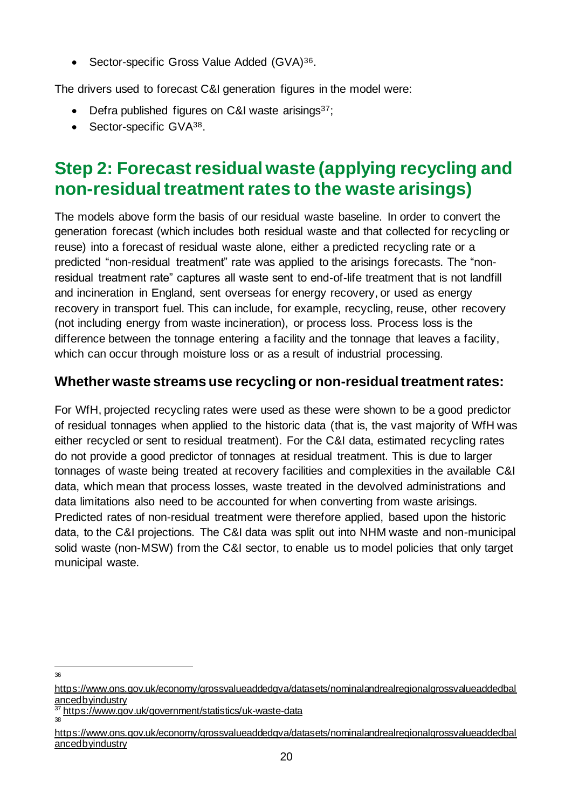• Sector-specific Gross Value Added (GVA)<sup>36</sup>.

The drivers used to forecast C&I generation figures in the model were:

- Defra published figures on C&I waste arisings<sup>37</sup>;
- Sector-specific GVA38.

### <span id="page-19-0"></span>**Step 2: Forecast residual waste (applying recycling and non-residual treatment rates to the waste arisings)**

The models above form the basis of our residual waste baseline. In order to convert the generation forecast (which includes both residual waste and that collected for recycling or reuse) into a forecast of residual waste alone, either a predicted recycling rate or a predicted "non-residual treatment" rate was applied to the arisings forecasts. The "nonresidual treatment rate" captures all waste sent to end-of-life treatment that is not landfill and incineration in England, sent overseas for energy recovery, or used as energy recovery in transport fuel. This can include, for example, recycling, reuse, other recovery (not including energy from waste incineration), or process loss. Process loss is the difference between the tonnage entering a facility and the tonnage that leaves a facility, which can occur through moisture loss or as a result of industrial processing.

### **Whether waste streams use recycling or non-residual treatment rates:**

For WfH, projected recycling rates were used as these were shown to be a good predictor of residual tonnages when applied to the historic data (that is, the vast majority of WfH was either recycled or sent to residual treatment). For the C&I data, estimated recycling rates do not provide a good predictor of tonnages at residual treatment. This is due to larger tonnages of waste being treated at recovery facilities and complexities in the available C&I data, which mean that process losses, waste treated in the devolved administrations and data limitations also need to be accounted for when converting from waste arisings. Predicted rates of non-residual treatment were therefore applied, based upon the historic data, to the C&I projections. The C&I data was split out into NHM waste and non-municipal solid waste (non-MSW) from the C&I sector, to enable us to model policies that only target municipal waste.

36

[https://www.ons.gov.uk/economy/grossvalueaddedgva/datasets/nominalandrealregionalgrossvalueaddedbal](https://www.ons.gov.uk/economy/grossvalueaddedgva/datasets/nominalandrealregionalgrossvalueaddedbalancedbyindustry) [ancedbyindustry](https://www.ons.gov.uk/economy/grossvalueaddedgva/datasets/nominalandrealregionalgrossvalueaddedbalancedbyindustry)

<https://www.gov.uk/government/statistics/uk-waste-data> 38

[https://www.ons.gov.uk/economy/grossvalueaddedgva/datasets/nominalandrealregionalgrossvalueaddedbal](https://www.ons.gov.uk/economy/grossvalueaddedgva/datasets/nominalandrealregionalgrossvalueaddedbalancedbyindustry) [ancedbyindustry](https://www.ons.gov.uk/economy/grossvalueaddedgva/datasets/nominalandrealregionalgrossvalueaddedbalancedbyindustry)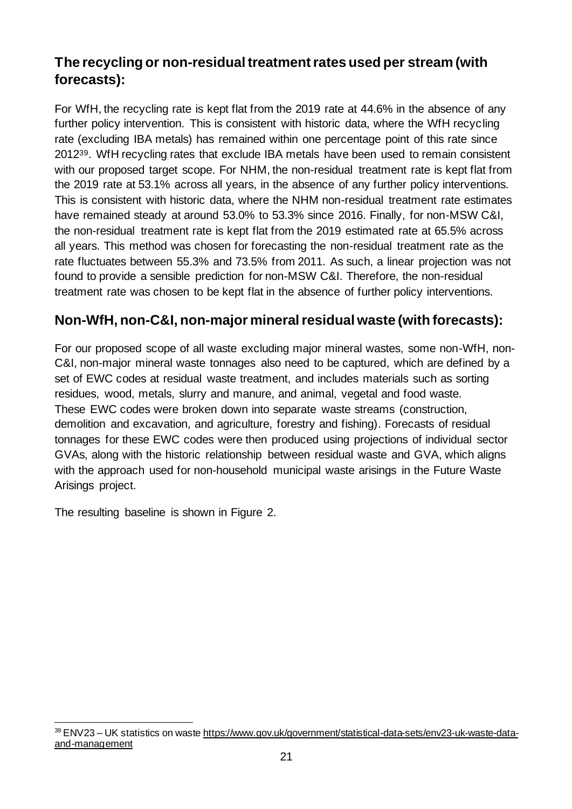### **The recycling or non-residual treatment rates used per stream (with forecasts):**

For WfH, the recycling rate is kept flat from the 2019 rate at 44.6% in the absence of any further policy intervention. This is consistent with historic data, where the WfH recycling rate (excluding IBA metals) has remained within one percentage point of this rate since 201239. WfH recycling rates that exclude IBA metals have been used to remain consistent with our proposed target scope. For NHM, the non-residual treatment rate is kept flat from the 2019 rate at 53.1% across all years, in the absence of any further policy interventions. This is consistent with historic data, where the NHM non-residual treatment rate estimates have remained steady at around 53.0% to 53.3% since 2016. Finally, for non-MSW C&I, the non-residual treatment rate is kept flat from the 2019 estimated rate at 65.5% across all years. This method was chosen for forecasting the non-residual treatment rate as the rate fluctuates between 55.3% and 73.5% from 2011. As such, a linear projection was not found to provide a sensible prediction for non-MSW C&I. Therefore, the non-residual treatment rate was chosen to be kept flat in the absence of further policy interventions.

### **Non-WfH, non-C&I, non-major mineral residual waste (with forecasts):**

For our proposed scope of all waste excluding major mineral wastes, some non-WfH, non-C&I, non-major mineral waste tonnages also need to be captured, which are defined by a set of EWC codes at residual waste treatment, and includes materials such as sorting residues, wood, metals, slurry and manure, and animal, vegetal and food waste. These EWC codes were broken down into separate waste streams (construction, demolition and excavation, and agriculture, forestry and fishing). Forecasts of residual tonnages for these EWC codes were then produced using projections of individual sector GVAs, along with the historic relationship between residual waste and GVA, which aligns with the approach used for non-household municipal waste arisings in the Future Waste Arisings project.

The resulting baseline is shown in Figure 2.

<sup>39</sup> ENV23 – UK statistics on wast[e https://www.gov.uk/government/statistical-data-sets/env23-uk-waste-data](https://www.gov.uk/government/statistical-data-sets/env23-uk-waste-data-and-management)[and-management](https://www.gov.uk/government/statistical-data-sets/env23-uk-waste-data-and-management)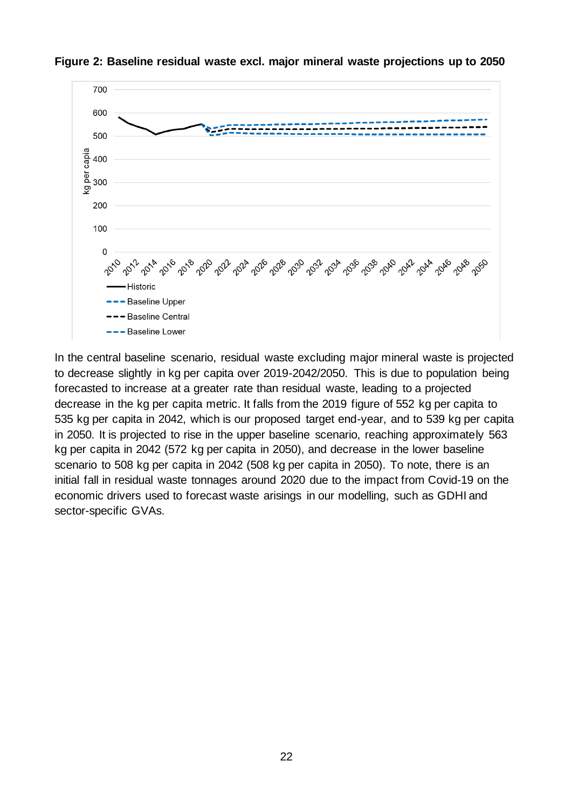

**Figure 2: Baseline residual waste excl. major mineral waste projections up to 2050**

In the central baseline scenario, residual waste excluding major mineral waste is projected to decrease slightly in kg per capita over 2019-2042/2050. This is due to population being forecasted to increase at a greater rate than residual waste, leading to a projected decrease in the kg per capita metric. It falls from the 2019 figure of 552 kg per capita to 535 kg per capita in 2042, which is our proposed target end-year, and to 539 kg per capita in 2050. It is projected to rise in the upper baseline scenario, reaching approximately 563 kg per capita in 2042 (572 kg per capita in 2050), and decrease in the lower baseline scenario to 508 kg per capita in 2042 (508 kg per capita in 2050). To note, there is an initial fall in residual waste tonnages around 2020 due to the impact from Covid-19 on the economic drivers used to forecast waste arisings in our modelling, such as GDHI and sector-specific GVAs.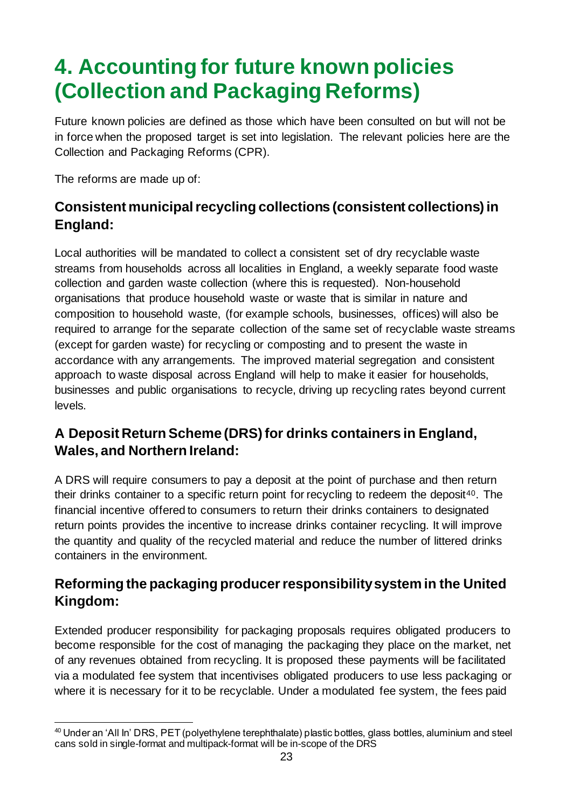## <span id="page-22-0"></span>**4. Accounting for future known policies (Collection and Packaging Reforms)**

Future known policies are defined as those which have been consulted on but will not be in force when the proposed target is set into legislation. The relevant policies here are the Collection and Packaging Reforms (CPR).

The reforms are made up of:

### **Consistent municipal recycling collections (consistent collections) in England:**

Local authorities will be mandated to collect a consistent set of dry recyclable waste streams from households across all localities in England, a weekly separate food waste collection and garden waste collection (where this is requested). Non-household organisations that produce household waste or waste that is similar in nature and composition to household waste, (for example schools, businesses, offices) will also be required to arrange for the separate collection of the same set of recyclable waste streams (except for garden waste) for recycling or composting and to present the waste in accordance with any arrangements. The improved material segregation and consistent approach to waste disposal across England will help to make it easier for households, businesses and public organisations to recycle, driving up recycling rates beyond current levels.

### **A Deposit Return Scheme (DRS) for drinks containers in England, Wales, and Northern Ireland:**

A DRS will require consumers to pay a deposit at the point of purchase and then return their drinks container to a specific return point for recycling to redeem the deposit<sup>40</sup>. The financial incentive offered to consumers to return their drinks containers to designated return points provides the incentive to increase drinks container recycling. It will improve the quantity and quality of the recycled material and reduce the number of littered drinks containers in the environment.

### **Reforming the packaging producer responsibility system in the United Kingdom:**

Extended producer responsibility for packaging proposals requires obligated producers to become responsible for the cost of managing the packaging they place on the market, net of any revenues obtained from recycling. It is proposed these payments will be facilitated via a modulated fee system that incentivises obligated producers to use less packaging or where it is necessary for it to be recyclable. Under a modulated fee system, the fees paid

<sup>40</sup> Under an 'All In' DRS, PET (polyethylene terephthalate) plastic bottles, glass bottles, aluminium and steel cans sold in single-format and multipack-format will be in-scope of the DRS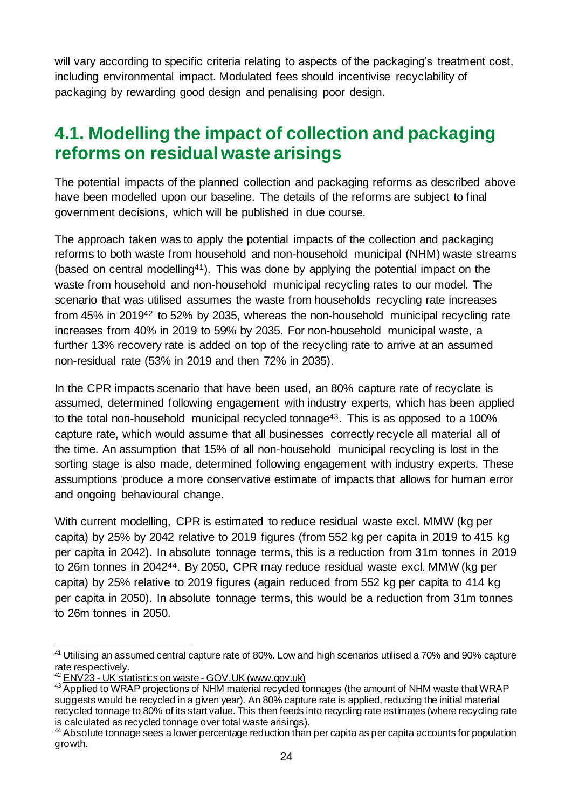will vary according to specific criteria relating to aspects of the packaging's treatment cost, including environmental impact. Modulated fees should incentivise recyclability of packaging by rewarding good design and penalising poor design.

### <span id="page-23-0"></span>**4.1. Modelling the impact of collection and packaging reforms on residual waste arisings**

The potential impacts of the planned collection and packaging reforms as described above have been modelled upon our baseline. The details of the reforms are subject to final government decisions, which will be published in due course.

The approach taken was to apply the potential impacts of the collection and packaging reforms to both waste from household and non-household municipal (NHM) waste streams (based on central modelling41). This was done by applying the potential impact on the waste from household and non-household municipal recycling rates to our model. The scenario that was utilised assumes the waste from households recycling rate increases from 45% in 2019<sup>42</sup> to 52% by 2035, whereas the non-household municipal recycling rate increases from 40% in 2019 to 59% by 2035. For non-household municipal waste, a further 13% recovery rate is added on top of the recycling rate to arrive at an assumed non-residual rate (53% in 2019 and then 72% in 2035).

In the CPR impacts scenario that have been used, an 80% capture rate of recyclate is assumed, determined following engagement with industry experts, which has been applied to the total non-household municipal recycled tonnage<sup>43</sup>. This is as opposed to a 100% capture rate, which would assume that all businesses correctly recycle all material all of the time. An assumption that 15% of all non-household municipal recycling is lost in the sorting stage is also made, determined following engagement with industry experts. These assumptions produce a more conservative estimate of impacts that allows for human error and ongoing behavioural change.

With current modelling, CPR is estimated to reduce residual waste excl. MMW (kg per capita) by 25% by 2042 relative to 2019 figures (from 552 kg per capita in 2019 to 415 kg per capita in 2042). In absolute tonnage terms, this is a reduction from 31m tonnes in 2019 to 26m tonnes in 204244. By 2050, CPR may reduce residual waste excl. MMW (kg per capita) by 25% relative to 2019 figures (again reduced from 552 kg per capita to 414 kg per capita in 2050). In absolute tonnage terms, this would be a reduction from 31m tonnes to 26m tonnes in 2050.

<sup>&</sup>lt;sup>41</sup> Utilising an assumed central capture rate of 80%. Low and high scenarios utilised a 70% and 90% capture rate respectively.

<sup>42</sup> ENV23 - [UK statistics on waste -](https://www.gov.uk/government/statistical-data-sets/env23-uk-waste-data-and-management) GOV.UK (www.gov.uk)

<sup>43</sup> Applied to WRAP projections of NHM material recycled tonnages (the amount of NHM waste that WRAP suggests would be recycled in a given year). An 80% capture rate is applied, reducing the initial material recycled tonnage to 80% of its start value. This then feeds into recycling rate estimates (where recycling rate is calculated as recycled tonnage over total waste arisings).

<sup>&</sup>lt;sup>44</sup> Absolute tonnage sees a lower percentage reduction than per capita as per capita accounts for population growth.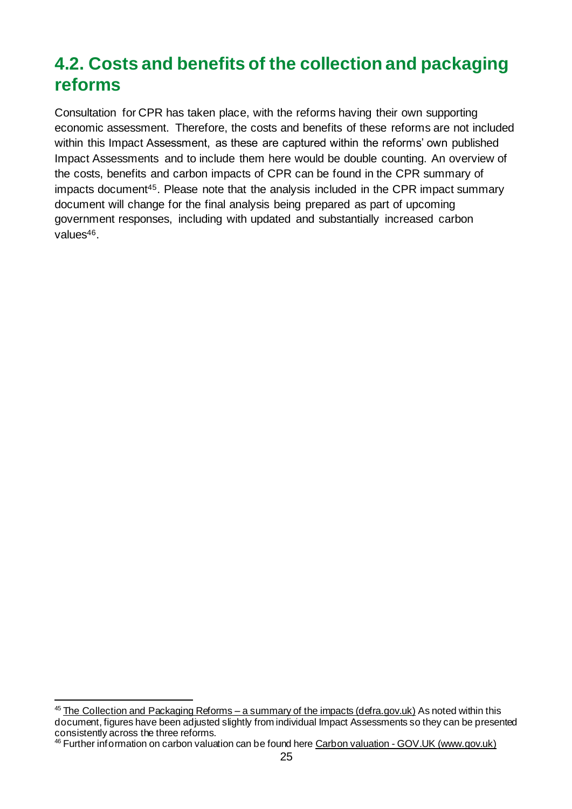## <span id="page-24-0"></span>**4.2. Costs and benefits of the collection and packaging reforms**

Consultation for CPR has taken place, with the reforms having their own supporting economic assessment. Therefore, the costs and benefits of these reforms are not included within this Impact Assessment, as these are captured within the reforms' own published Impact Assessments and to include them here would be double counting. An overview of the costs, benefits and carbon impacts of CPR can be found in the CPR summary of impacts document45. Please note that the analysis included in the CPR impact summary document will change for the final analysis being prepared as part of upcoming government responses, including with updated and substantially increased carbon values<sup>46</sup>.

 $45$  [The Collection and Packaging Reforms –](https://consult.defra.gov.uk/waste-and-recycling/consistency-in-household-and-business-recycling/supporting_documents/Collection%20and%20packaging%20reforms%20summary%20of%20impacts.pdf) a summary of the impacts (defra.gov.uk) As noted within this document, figures have been adjusted slightly from individual Impact Assessments so they can be presented consistently across the three reforms.

<sup>&</sup>lt;sup>46</sup> Further information on carbon valuation can be found here Carbon valuation - [GOV.UK \(www.gov.uk\)](https://www.gov.uk/government/collections/carbon-valuation--2)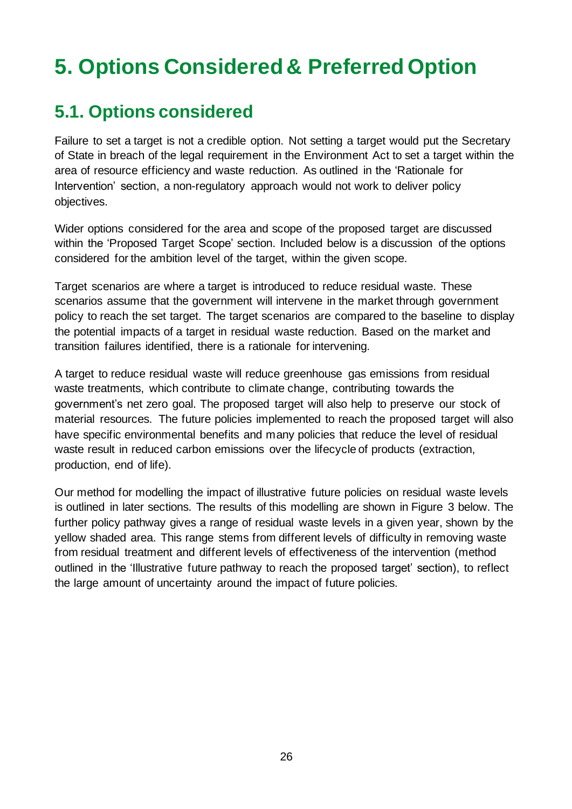## <span id="page-25-0"></span>**5. Options Considered& Preferred Option**

## <span id="page-25-1"></span>**5.1. Options considered**

Failure to set a target is not a credible option. Not setting a target would put the Secretary of State in breach of the legal requirement in the Environment Act to set a target within the area of resource efficiency and waste reduction. As outlined in the 'Rationale for Intervention' section, a non-regulatory approach would not work to deliver policy objectives.

Wider options considered for the area and scope of the proposed target are discussed within the 'Proposed Target Scope' section. Included below is a discussion of the options considered for the ambition level of the target, within the given scope.

Target scenarios are where a target is introduced to reduce residual waste. These scenarios assume that the government will intervene in the market through government policy to reach the set target. The target scenarios are compared to the baseline to display the potential impacts of a target in residual waste reduction. Based on the market and transition failures identified, there is a rationale for intervening.

A target to reduce residual waste will reduce greenhouse gas emissions from residual waste treatments, which contribute to climate change, contributing towards the government's net zero goal. The proposed target will also help to preserve our stock of material resources. The future policies implemented to reach the proposed target will also have specific environmental benefits and many policies that reduce the level of residual waste result in reduced carbon emissions over the lifecycle of products (extraction, production, end of life).

Our method for modelling the impact of illustrative future policies on residual waste levels is outlined in later sections. The results of this modelling are shown in Figure 3 below. The further policy pathway gives a range of residual waste levels in a given year, shown by the yellow shaded area. This range stems from different levels of difficulty in removing waste from residual treatment and different levels of effectiveness of the intervention (method outlined in the 'Illustrative future pathway to reach the proposed target' section), to reflect the large amount of uncertainty around the impact of future policies.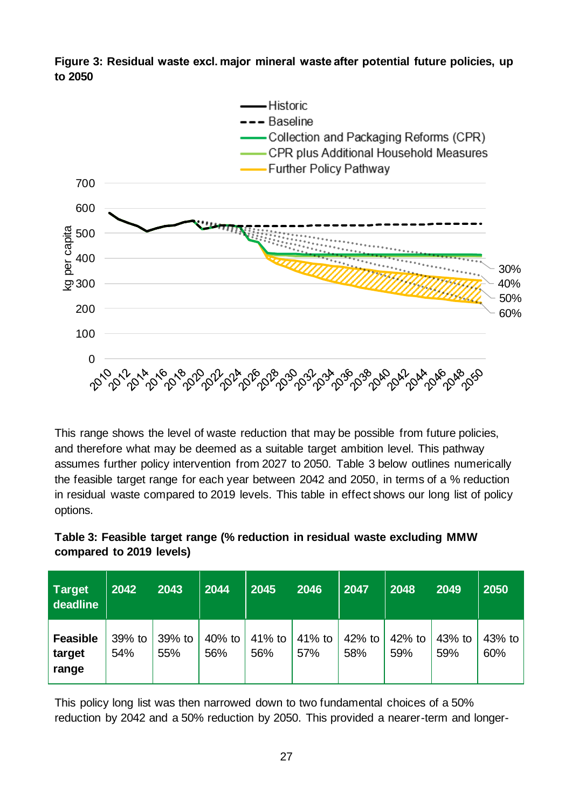**Figure 3: Residual waste excl. major mineral waste after potential future policies, up to 2050**



This range shows the level of waste reduction that may be possible from future policies, and therefore what may be deemed as a suitable target ambition level. This pathway assumes further policy intervention from 2027 to 2050. Table 3 below outlines numerically the feasible target range for each year between 2042 and 2050, in terms of a % reduction in residual waste compared to 2019 levels. This table in effect shows our long list of policy options.



| <b>Target</b><br>deadline          | 2042          | 2043          | 2044          | 2045          | 2046          | 2047            | 2048            | 2049          | 2050          |
|------------------------------------|---------------|---------------|---------------|---------------|---------------|-----------------|-----------------|---------------|---------------|
| <b>Feasible</b><br>target<br>range | 39% to<br>54% | 39% to<br>55% | 40% to<br>56% | 41% to<br>56% | 41% to<br>57% | $42%$ to<br>58% | $42%$ to<br>59% | 43% to<br>59% | 43% to<br>60% |

This policy long list was then narrowed down to two fundamental choices of a 50% reduction by 2042 and a 50% reduction by 2050. This provided a nearer-term and longer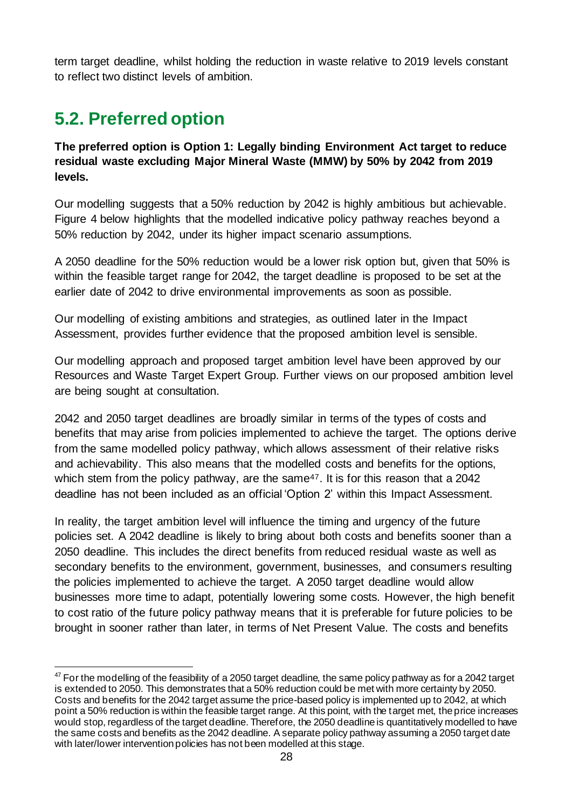term target deadline, whilst holding the reduction in waste relative to 2019 levels constant to reflect two distinct levels of ambition.

## <span id="page-27-0"></span>**5.2. Preferred option**

**The preferred option is Option 1: Legally binding Environment Act target to reduce residual waste excluding Major Mineral Waste (MMW) by 50% by 2042 from 2019 levels.**

Our modelling suggests that a 50% reduction by 2042 is highly ambitious but achievable. Figure 4 below highlights that the modelled indicative policy pathway reaches beyond a 50% reduction by 2042, under its higher impact scenario assumptions.

A 2050 deadline for the 50% reduction would be a lower risk option but, given that 50% is within the feasible target range for 2042, the target deadline is proposed to be set at the earlier date of 2042 to drive environmental improvements as soon as possible.

Our modelling of existing ambitions and strategies, as outlined later in the Impact Assessment, provides further evidence that the proposed ambition level is sensible.

Our modelling approach and proposed target ambition level have been approved by our Resources and Waste Target Expert Group. Further views on our proposed ambition level are being sought at consultation.

2042 and 2050 target deadlines are broadly similar in terms of the types of costs and benefits that may arise from policies implemented to achieve the target. The options derive from the same modelled policy pathway, which allows assessment of their relative risks and achievability. This also means that the modelled costs and benefits for the options, which stem from the policy pathway, are the same<sup>47</sup>. It is for this reason that a 2042 deadline has not been included as an official 'Option 2' within this Impact Assessment.

In reality, the target ambition level will influence the timing and urgency of the future policies set. A 2042 deadline is likely to bring about both costs and benefits sooner than a 2050 deadline. This includes the direct benefits from reduced residual waste as well as secondary benefits to the environment, government, businesses, and consumers resulting the policies implemented to achieve the target. A 2050 target deadline would allow businesses more time to adapt, potentially lowering some costs. However, the high benefit to cost ratio of the future policy pathway means that it is preferable for future policies to be brought in sooner rather than later, in terms of Net Present Value. The costs and benefits

 $47$  For the modelling of the feasibility of a 2050 target deadline, the same policy pathway as for a 2042 target is extended to 2050. This demonstrates that a 50% reduction could be met with more certainty by 2050. Costs and benefits for the 2042 target assume the price-based policy is implemented up to 2042, at which point a 50% reduction is within the feasible target range. At this point, with the target met, the price increases would stop, regardless of the target deadline. Therefore, the 2050 deadline is quantitatively modelled to have the same costs and benefits as the 2042 deadline. A separate policy pathway assuming a 2050 target date with later/lower intervention policies has not been modelled at this stage.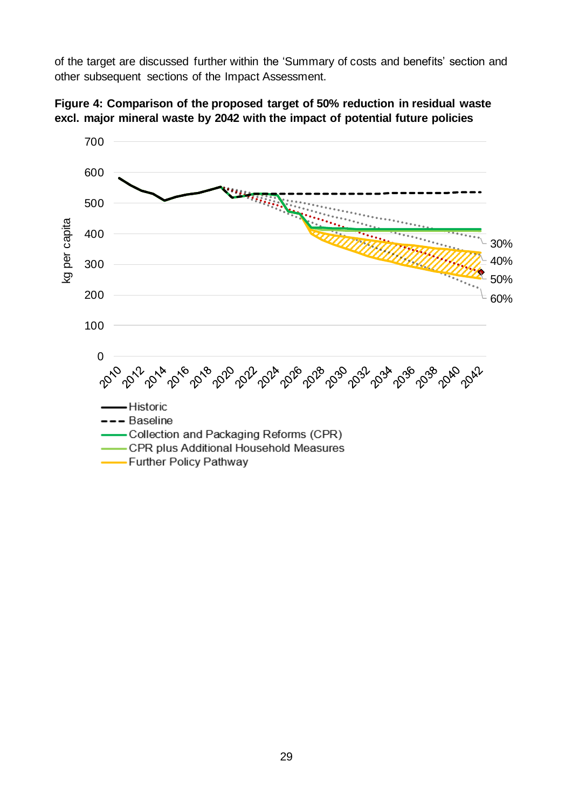of the target are discussed further within the 'Summary of costs and benefits' section and other subsequent sections of the Impact Assessment.



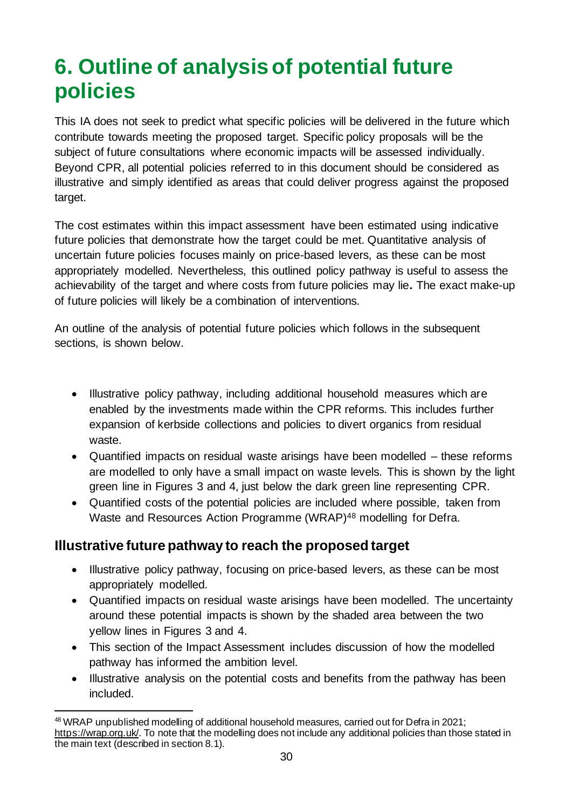## <span id="page-29-0"></span>**6. Outline of analysis of potential future policies**

This IA does not seek to predict what specific policies will be delivered in the future which contribute towards meeting the proposed target. Specific policy proposals will be the subject of future consultations where economic impacts will be assessed individually. Beyond CPR, all potential policies referred to in this document should be considered as illustrative and simply identified as areas that could deliver progress against the proposed target.

The cost estimates within this impact assessment have been estimated using indicative future policies that demonstrate how the target could be met. Quantitative analysis of uncertain future policies focuses mainly on price-based levers, as these can be most appropriately modelled. Nevertheless, this outlined policy pathway is useful to assess the achievability of the target and where costs from future policies may lie**.** The exact make-up of future policies will likely be a combination of interventions.

An outline of the analysis of potential future policies which follows in the subsequent sections, is shown below.

- Illustrative policy pathway, including additional household measures which are enabled by the investments made within the CPR reforms. This includes further expansion of kerbside collections and policies to divert organics from residual waste.
- Quantified impacts on residual waste arisings have been modelled these reforms are modelled to only have a small impact on waste levels. This is shown by the light green line in Figures 3 and 4, just below the dark green line representing CPR.
- Quantified costs of the potential policies are included where possible, taken from Waste and Resources Action Programme (WRAP)<sup>48</sup> modelling for Defra.

### **Illustrative future pathway to reach the proposed target**

- Illustrative policy pathway, focusing on price-based levers, as these can be most appropriately modelled.
- Quantified impacts on residual waste arisings have been modelled. The uncertainty around these potential impacts is shown by the shaded area between the two yellow lines in Figures 3 and 4.
- This section of the Impact Assessment includes discussion of how the modelled pathway has informed the ambition level.
- Illustrative analysis on the potential costs and benefits from the pathway has been included.

<sup>48</sup> WRAP unpublished modelling of additional household measures, carried out for Defra in 2021; <https://wrap.org.uk/>. To note that the modelling does not include any additional policies than those stated in the main text (described in section 8.1).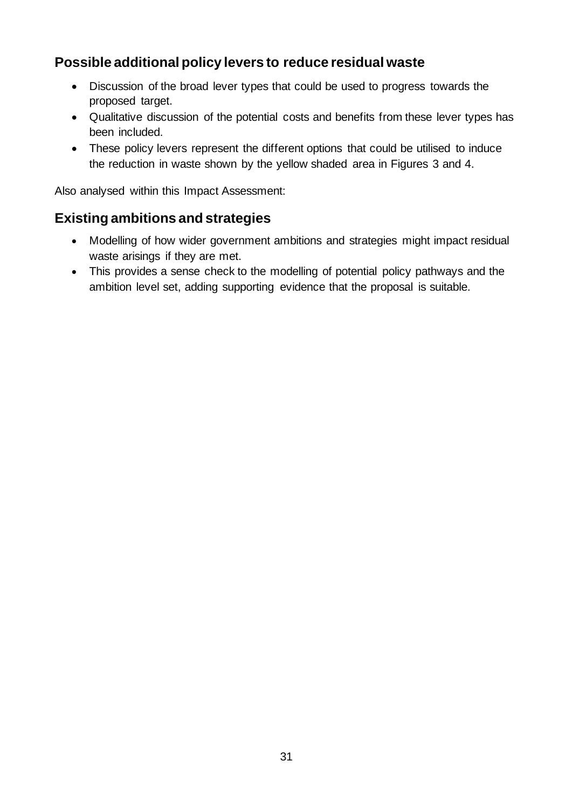### **Possible additional policy levers to reduce residual waste**

- Discussion of the broad lever types that could be used to progress towards the proposed target.
- Qualitative discussion of the potential costs and benefits from these lever types has been included.
- These policy levers represent the different options that could be utilised to induce the reduction in waste shown by the yellow shaded area in Figures 3 and 4.

Also analysed within this Impact Assessment:

### **Existing ambitions and strategies**

- Modelling of how wider government ambitions and strategies might impact residual waste arisings if they are met.
- This provides a sense check to the modelling of potential policy pathways and the ambition level set, adding supporting evidence that the proposal is suitable.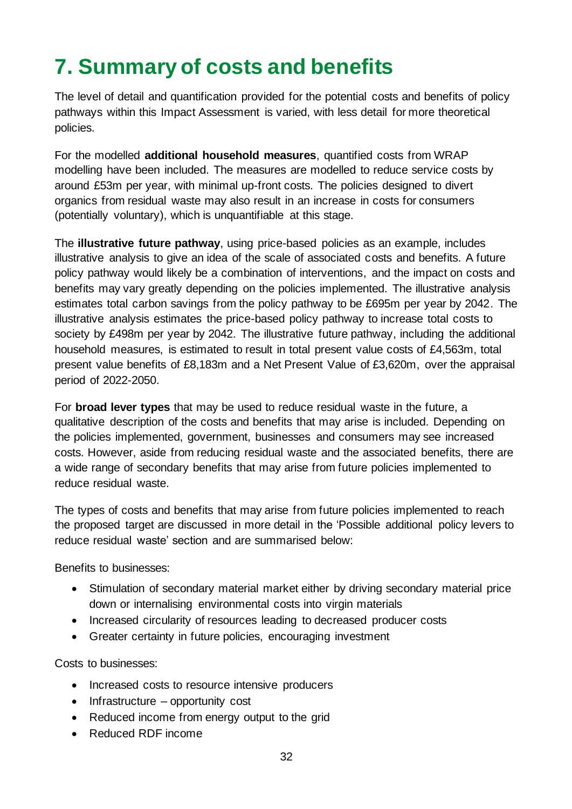## <span id="page-31-0"></span>**7. Summary of costs and benefits**

The level of detail and quantification provided for the potential costs and benefits of policy pathways within this Impact Assessment is varied, with less detail for more theoretical policies.

For the modelled **additional household measures**, quantified costs from WRAP modelling have been included. The measures are modelled to reduce service costs by around £53m per year, with minimal up-front costs. The policies designed to divert organics from residual waste may also result in an increase in costs for consumers (potentially voluntary), which is unquantifiable at this stage.

The **illustrative future pathway**, using price-based policies as an example, includes illustrative analysis to give an idea of the scale of associated costs and benefits. A future policy pathway would likely be a combination of interventions, and the impact on costs and benefits may vary greatly depending on the policies implemented. The illustrative analysis estimates total carbon savings from the policy pathway to be £695m per year by 2042. The illustrative analysis estimates the price-based policy pathway to increase total costs to society by £498m per year by 2042. The illustrative future pathway, including the additional household measures, is estimated to result in total present value costs of £4,563m, total present value benefits of £8,183m and a Net Present Value of £3,620m, over the appraisal period of 2022-2050.

For **broad lever types** that may be used to reduce residual waste in the future, a qualitative description of the costs and benefits that may arise is included. Depending on the policies implemented, government, businesses and consumers may see increased costs. However, aside from reducing residual waste and the associated benefits, there are a wide range of secondary benefits that may arise from future policies implemented to reduce residual waste.

The types of costs and benefits that may arise from future policies implemented to reach the proposed target are discussed in more detail in the 'Possible additional policy levers to reduce residual waste' section and are summarised below:

Benefits to businesses:

- Stimulation of secondary material market either by driving secondary material price down or internalising environmental costs into virgin materials
- Increased circularity of resources leading to decreased producer costs
- Greater certainty in future policies, encouraging investment

Costs to businesses:

- Increased costs to resource intensive producers
- Infrastructure opportunity cost
- Reduced income from energy output to the grid
- Reduced RDF income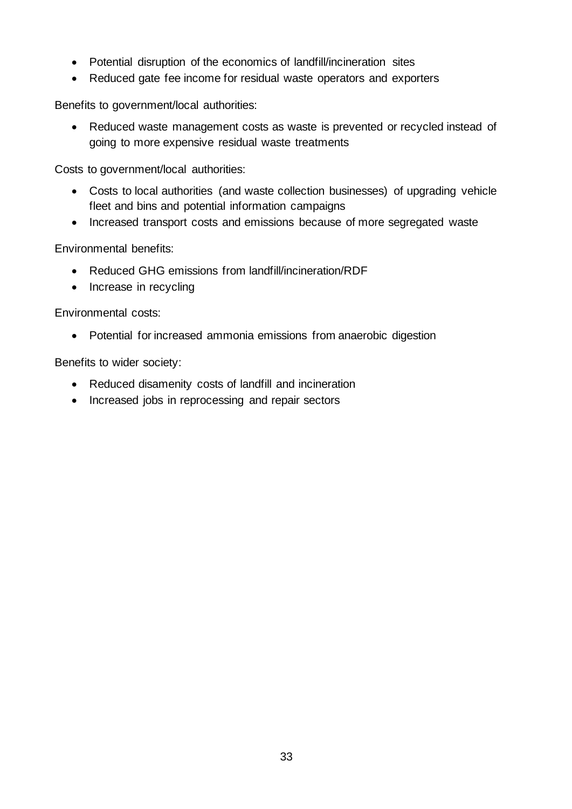- Potential disruption of the economics of landfill/incineration sites
- Reduced gate fee income for residual waste operators and exporters

Benefits to government/local authorities:

• Reduced waste management costs as waste is prevented or recycled instead of going to more expensive residual waste treatments

Costs to government/local authorities:

- Costs to local authorities (and waste collection businesses) of upgrading vehicle fleet and bins and potential information campaigns
- Increased transport costs and emissions because of more segregated waste

Environmental benefits:

- Reduced GHG emissions from landfill/incineration/RDF
- Increase in recycling

Environmental costs:

• Potential for increased ammonia emissions from anaerobic digestion

Benefits to wider society:

- Reduced disamenity costs of landfill and incineration
- Increased jobs in reprocessing and repair sectors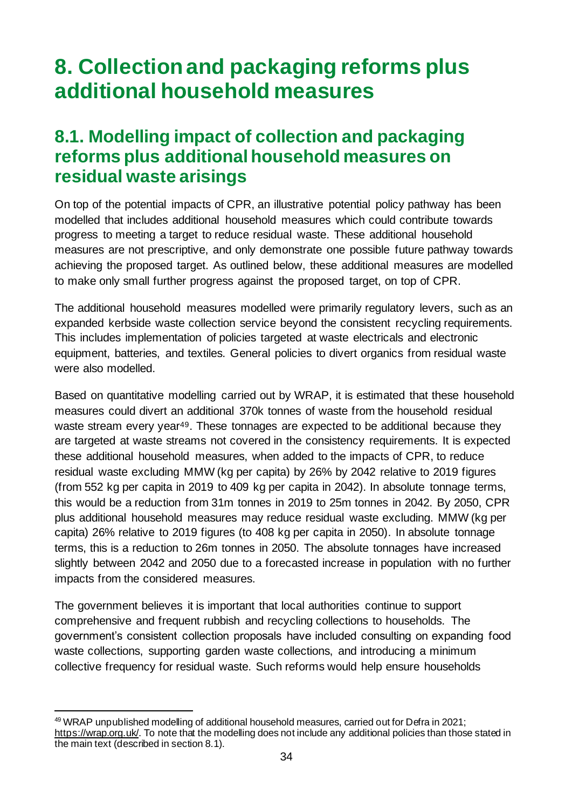## <span id="page-33-0"></span>**8. Collection and packaging reforms plus additional household measures**

### <span id="page-33-1"></span>**8.1. Modelling impact of collection and packaging reforms plus additional household measures on residual waste arisings**

On top of the potential impacts of CPR, an illustrative potential policy pathway has been modelled that includes additional household measures which could contribute towards progress to meeting a target to reduce residual waste. These additional household measures are not prescriptive, and only demonstrate one possible future pathway towards achieving the proposed target. As outlined below, these additional measures are modelled to make only small further progress against the proposed target, on top of CPR.

The additional household measures modelled were primarily regulatory levers, such as an expanded kerbside waste collection service beyond the consistent recycling requirements. This includes implementation of policies targeted at waste electricals and electronic equipment, batteries, and textiles. General policies to divert organics from residual waste were also modelled.

Based on quantitative modelling carried out by WRAP, it is estimated that these household measures could divert an additional 370k tonnes of waste from the household residual waste stream every year<sup>49</sup>. These tonnages are expected to be additional because they are targeted at waste streams not covered in the consistency requirements. It is expected these additional household measures, when added to the impacts of CPR, to reduce residual waste excluding MMW (kg per capita) by 26% by 2042 relative to 2019 figures (from 552 kg per capita in 2019 to 409 kg per capita in 2042). In absolute tonnage terms, this would be a reduction from 31m tonnes in 2019 to 25m tonnes in 2042. By 2050, CPR plus additional household measures may reduce residual waste excluding. MMW (kg per capita) 26% relative to 2019 figures (to 408 kg per capita in 2050). In absolute tonnage terms, this is a reduction to 26m tonnes in 2050. The absolute tonnages have increased slightly between 2042 and 2050 due to a forecasted increase in population with no further impacts from the considered measures.

The government believes it is important that local authorities continue to support comprehensive and frequent rubbish and recycling collections to households. The government's consistent collection proposals have included consulting on expanding food waste collections, supporting garden waste collections, and introducing a minimum collective frequency for residual waste. Such reforms would help ensure households

<sup>49</sup> WRAP unpublished modelling of additional household measures, carried out for Defra in 2021; <https://wrap.org.uk/>. To note that the modelling does not include any additional policies than those stated in the main text (described in section 8.1).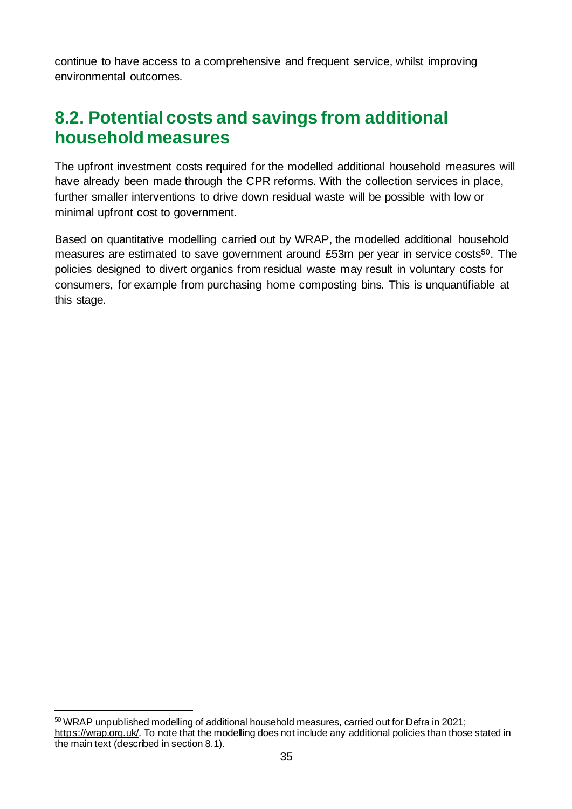continue to have access to a comprehensive and frequent service, whilst improving environmental outcomes.

### <span id="page-34-0"></span>**8.2. Potential costs and savings from additional household measures**

The upfront investment costs required for the modelled additional household measures will have already been made through the CPR reforms. With the collection services in place, further smaller interventions to drive down residual waste will be possible with low or minimal upfront cost to government.

Based on quantitative modelling carried out by WRAP, the modelled additional household measures are estimated to save government around £53m per year in service costs<sup>50</sup>. The policies designed to divert organics from residual waste may result in voluntary costs for consumers, for example from purchasing home composting bins. This is unquantifiable at this stage.

<sup>50</sup> WRAP unpublished modelling of additional household measures, carried out for Defra in 2021; <https://wrap.org.uk/>. To note that the modelling does not include any additional policies than those stated in the main text (described in section 8.1).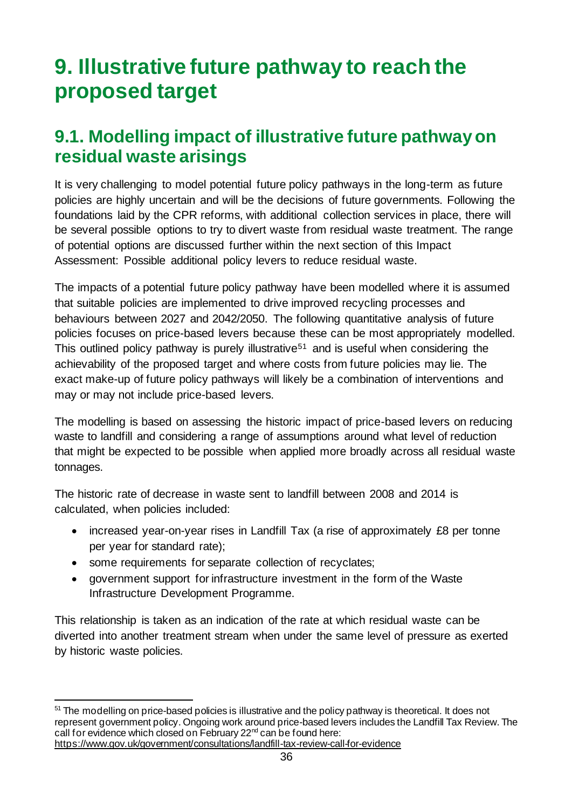## <span id="page-35-0"></span>**9. Illustrative future pathway to reach the proposed target**

### <span id="page-35-1"></span>**9.1. Modelling impact of illustrative future pathwayon residual waste arisings**

It is very challenging to model potential future policy pathways in the long-term as future policies are highly uncertain and will be the decisions of future governments. Following the foundations laid by the CPR reforms, with additional collection services in place, there will be several possible options to try to divert waste from residual waste treatment. The range of potential options are discussed further within the next section of this Impact Assessment: Possible additional policy levers to reduce residual waste.

The impacts of a potential future policy pathway have been modelled where it is assumed that suitable policies are implemented to drive improved recycling processes and behaviours between 2027 and 2042/2050. The following quantitative analysis of future policies focuses on price-based levers because these can be most appropriately modelled. This outlined policy pathway is purely illustrative<sup>51</sup> and is useful when considering the achievability of the proposed target and where costs from future policies may lie. The exact make-up of future policy pathways will likely be a combination of interventions and may or may not include price-based levers.

The modelling is based on assessing the historic impact of price-based levers on reducing waste to landfill and considering a range of assumptions around what level of reduction that might be expected to be possible when applied more broadly across all residual waste tonnages.

The historic rate of decrease in waste sent to landfill between 2008 and 2014 is calculated, when policies included:

- increased year-on-year rises in Landfill Tax (a rise of approximately £8 per tonne per year for standard rate);
- some requirements for separate collection of recyclates;
- government support for infrastructure investment in the form of the Waste Infrastructure Development Programme.

This relationship is taken as an indication of the rate at which residual waste can be diverted into another treatment stream when under the same level of pressure as exerted by historic waste policies.

<sup>&</sup>lt;sup>51</sup> The modelling on price-based policies is illustrative and the policy pathway is theoretical. It does not represent government policy. Ongoing work around price-based levers includes the Landfill Tax Review. The call for evidence which closed on February 22nd can be found here: <https://www.gov.uk/government/consultations/landfill-tax-review-call-for-evidence>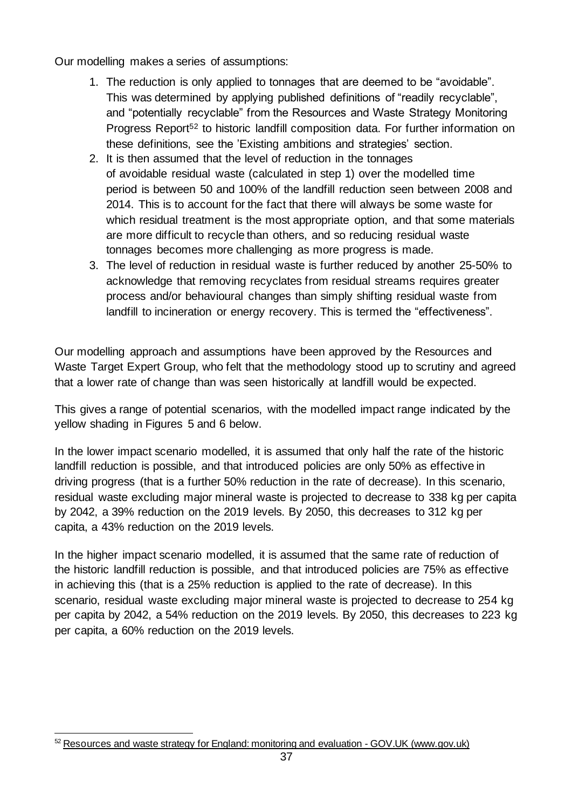Our modelling makes a series of assumptions:

- 1. The reduction is only applied to tonnages that are deemed to be "avoidable". This was determined by applying published definitions of "readily recyclable", and "potentially recyclable" from the Resources and Waste Strategy Monitoring Progress Report<sup>52</sup> to historic landfill composition data. For further information on these definitions, see the 'Existing ambitions and strategies' section.
- 2. It is then assumed that the level of reduction in the tonnages of avoidable residual waste (calculated in step 1) over the modelled time period is between 50 and 100% of the landfill reduction seen between 2008 and 2014. This is to account for the fact that there will always be some waste for which residual treatment is the most appropriate option, and that some materials are more difficult to recycle than others, and so reducing residual waste tonnages becomes more challenging as more progress is made.
- 3. The level of reduction in residual waste is further reduced by another 25-50% to acknowledge that removing recyclates from residual streams requires greater process and/or behavioural changes than simply shifting residual waste from landfill to incineration or energy recovery. This is termed the "effectiveness".

Our modelling approach and assumptions have been approved by the Resources and Waste Target Expert Group, who felt that the methodology stood up to scrutiny and agreed that a lower rate of change than was seen historically at landfill would be expected.

This gives a range of potential scenarios, with the modelled impact range indicated by the yellow shading in Figures 5 and 6 below.

In the lower impact scenario modelled, it is assumed that only half the rate of the historic landfill reduction is possible, and that introduced policies are only 50% as effective in driving progress (that is a further 50% reduction in the rate of decrease). In this scenario, residual waste excluding major mineral waste is projected to decrease to 338 kg per capita by 2042, a 39% reduction on the 2019 levels. By 2050, this decreases to 312 kg per capita, a 43% reduction on the 2019 levels.

In the higher impact scenario modelled, it is assumed that the same rate of reduction of the historic landfill reduction is possible, and that introduced policies are 75% as effective in achieving this (that is a 25% reduction is applied to the rate of decrease). In this scenario, residual waste excluding major mineral waste is projected to decrease to 254 kg per capita by 2042, a 54% reduction on the 2019 levels. By 2050, this decreases to 223 kg per capita, a 60% reduction on the 2019 levels.

 $52$  [Resources and waste strategy for England: monitoring and evaluation -](https://www.gov.uk/government/publications/resources-and-waste-strategy-for-england-monitoring-and-evaluation) GOV.UK (www.gov.uk)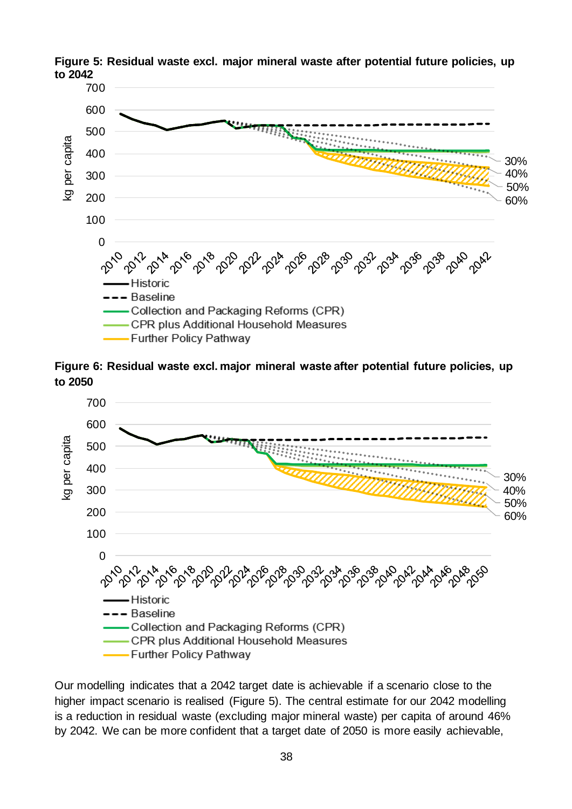

**Figure 5: Residual waste excl. major mineral waste after potential future policies, up to 2042** 

**Figure 6: Residual waste excl. major mineral waste after potential future policies, up to 2050**



Our modelling indicates that a 2042 target date is achievable if a scenario close to the higher impact scenario is realised (Figure 5). The central estimate for our 2042 modelling is a reduction in residual waste (excluding major mineral waste) per capita of around 46% by 2042. We can be more confident that a target date of 2050 is more easily achievable,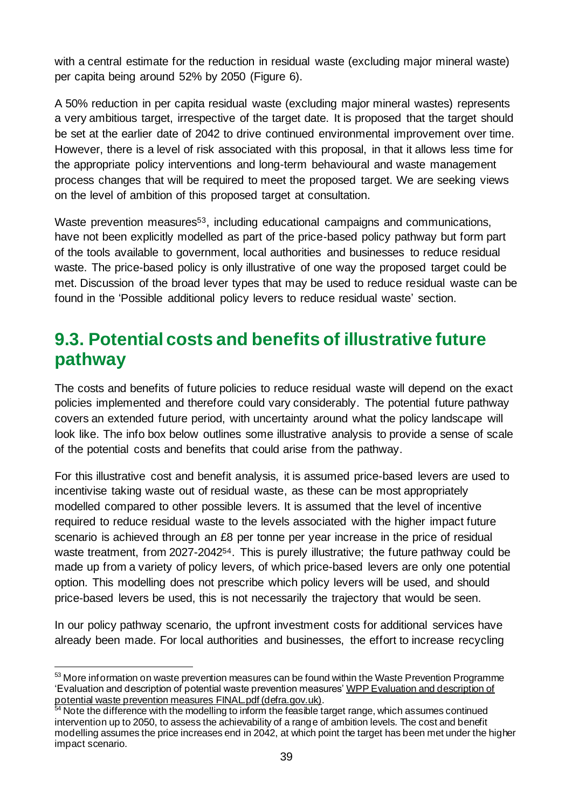with a central estimate for the reduction in residual waste (excluding major mineral waste) per capita being around 52% by 2050 (Figure 6).

A 50% reduction in per capita residual waste (excluding major mineral wastes) represents a very ambitious target, irrespective of the target date. It is proposed that the target should be set at the earlier date of 2042 to drive continued environmental improvement over time. However, there is a level of risk associated with this proposal, in that it allows less time for the appropriate policy interventions and long-term behavioural and waste management process changes that will be required to meet the proposed target. We are seeking views on the level of ambition of this proposed target at consultation.

Waste prevention measures<sup>53</sup>, including educational campaigns and communications, have not been explicitly modelled as part of the price-based policy pathway but form part of the tools available to government, local authorities and businesses to reduce residual waste. The price-based policy is only illustrative of one way the proposed target could be met. Discussion of the broad lever types that may be used to reduce residual waste can be found in the 'Possible additional policy levers to reduce residual waste' section.

### <span id="page-38-0"></span>**9.3. Potential costs and benefits of illustrative future pathway**

The costs and benefits of future policies to reduce residual waste will depend on the exact policies implemented and therefore could vary considerably. The potential future pathway covers an extended future period, with uncertainty around what the policy landscape will look like. The info box below outlines some illustrative analysis to provide a sense of scale of the potential costs and benefits that could arise from the pathway.

For this illustrative cost and benefit analysis, it is assumed price-based levers are used to incentivise taking waste out of residual waste, as these can be most appropriately modelled compared to other possible levers. It is assumed that the level of incentive required to reduce residual waste to the levels associated with the higher impact future scenario is achieved through an £8 per tonne per year increase in the price of residual waste treatment, from 2027-2042<sup>54</sup>. This is purely illustrative; the future pathway could be made up from a variety of policy levers, of which price-based levers are only one potential option. This modelling does not prescribe which policy levers will be used, and should price-based levers be used, this is not necessarily the trajectory that would be seen.

In our policy pathway scenario, the upfront investment costs for additional services have already been made. For local authorities and businesses, the effort to increase recycling

<sup>53</sup> More information on waste prevention measures can be found within the Waste Prevention Programme 'Evaluation and description of potential waste prevention measure[s' WPP Evaluation and description of](https://consult.defra.gov.uk/waste-and-recycling/waste-prevention-programme-for-england-2021/supporting_documents/WPP%20Evaluation%20and%20description%20of%20potential%20waste%20prevention%20measures%20FINAL.pdf)  potential waste prevention measures FINAL pdf (defra.gov.uk).

Note the difference with the modelling to inform the feasible target range, which assumes continued intervention up to 2050, to assess the achievability of a range of ambition levels. The cost and benefit modelling assumes the price increases end in 2042, at which point the target has been met under the higher impact scenario.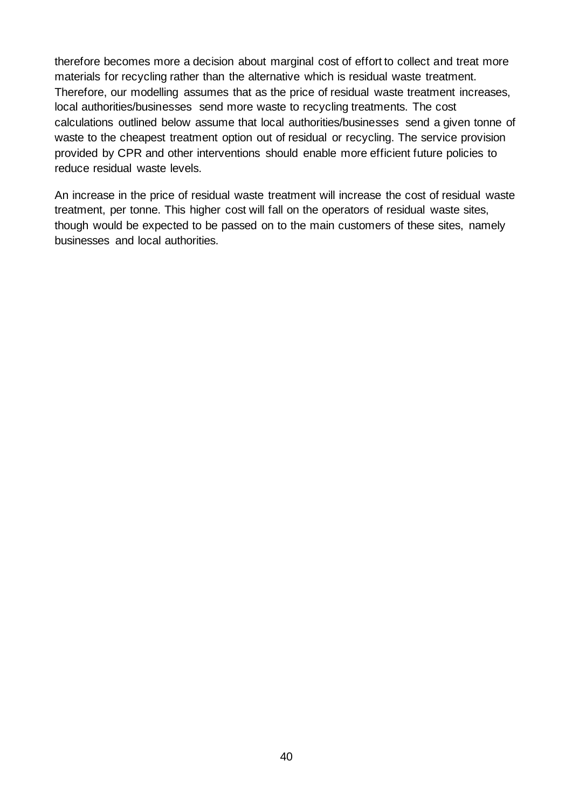therefore becomes more a decision about marginal cost of effort to collect and treat more materials for recycling rather than the alternative which is residual waste treatment. Therefore, our modelling assumes that as the price of residual waste treatment increases, local authorities/businesses send more waste to recycling treatments. The cost calculations outlined below assume that local authorities/businesses send a given tonne of waste to the cheapest treatment option out of residual or recycling. The service provision provided by CPR and other interventions should enable more efficient future policies to reduce residual waste levels.

An increase in the price of residual waste treatment will increase the cost of residual waste treatment, per tonne. This higher cost will fall on the operators of residual waste sites, though would be expected to be passed on to the main customers of these sites, namely businesses and local authorities.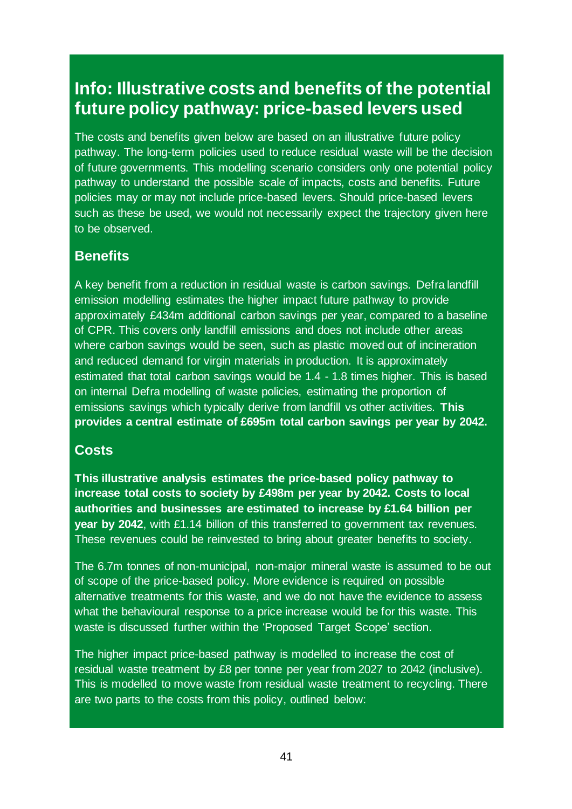### **Info: Illustrative costs and benefits of the potential future policy pathway: price-based levers used**

The costs and benefits given below are based on an illustrative future policy pathway. The long-term policies used to reduce residual waste will be the decision of future governments. This modelling scenario considers only one potential policy pathway to understand the possible scale of impacts, costs and benefits. Future policies may or may not include price-based levers. Should price-based levers such as these be used, we would not necessarily expect the trajectory given here to be observed.

### **Benefits**

A key benefit from a reduction in residual waste is carbon savings. Defra landfill emission modelling estimates the higher impact future pathway to provide approximately £434m additional carbon savings per year, compared to a baseline of CPR. This covers only landfill emissions and does not include other areas where carbon savings would be seen, such as plastic moved out of incineration and reduced demand for virgin materials in production. It is approximately estimated that total carbon savings would be 1.4 - 1.8 times higher. This is based on internal Defra modelling of waste policies, estimating the proportion of emissions savings which typically derive from landfill vs other activities. **This provides a central estimate of £695m total carbon savings per year by 2042.**

### **Costs**

**This illustrative analysis estimates the price-based policy pathway to increase total costs to society by £498m per year by 2042. Costs to local authorities and businesses are estimated to increase by £1.64 billion per year by 2042**, with £1.14 billion of this transferred to government tax revenues. These revenues could be reinvested to bring about greater benefits to society.

The 6.7m tonnes of non-municipal, non-major mineral waste is assumed to be out of scope of the price-based policy. More evidence is required on possible alternative treatments for this waste, and we do not have the evidence to assess what the behavioural response to a price increase would be for this waste. This waste is discussed further within the 'Proposed Target Scope' section.

The higher impact price-based pathway is modelled to increase the cost of residual waste treatment by £8 per tonne per year from 2027 to 2042 (inclusive). This is modelled to move waste from residual waste treatment to recycling. There are two parts to the costs from this policy, outlined below: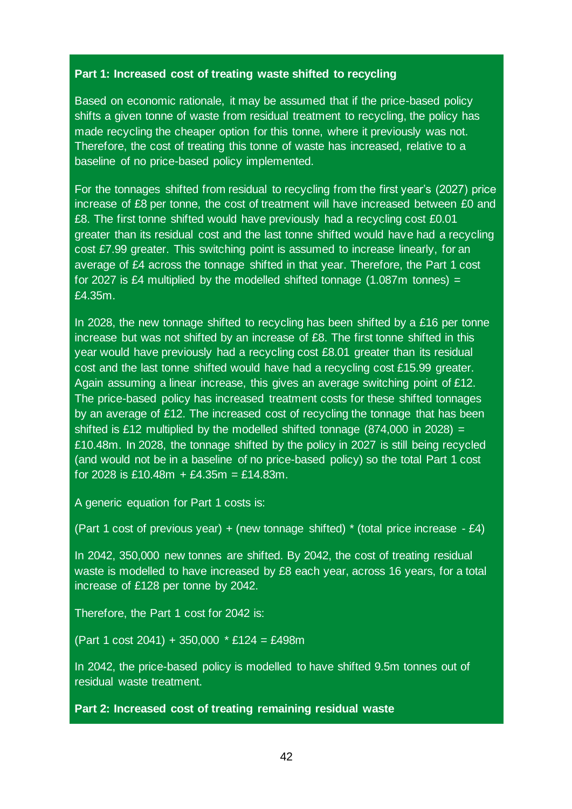#### **Part 1: Increased cost of treating waste shifted to recycling**

Based on economic rationale, it may be assumed that if the price-based policy shifts a given tonne of waste from residual treatment to recycling, the policy has made recycling the cheaper option for this tonne, where it previously was not. Therefore, the cost of treating this tonne of waste has increased, relative to a baseline of no price-based policy implemented.

For the tonnages shifted from residual to recycling from the first year's (2027) price increase of £8 per tonne, the cost of treatment will have increased between £0 and £8. The first tonne shifted would have previously had a recycling cost £0.01 greater than its residual cost and the last tonne shifted would have had a recycling cost £7.99 greater. This switching point is assumed to increase linearly, for an average of £4 across the tonnage shifted in that year. Therefore, the Part 1 cost for 2027 is £4 multiplied by the modelled shifted tonnage  $(1.087m)$  tonnes) = £4.35m.

In 2028, the new tonnage shifted to recycling has been shifted by a £16 per tonne increase but was not shifted by an increase of £8. The first tonne shifted in this year would have previously had a recycling cost £8.01 greater than its residual cost and the last tonne shifted would have had a recycling cost £15.99 greater. Again assuming a linear increase, this gives an average switching point of £12. The price-based policy has increased treatment costs for these shifted tonnages by an average of £12. The increased cost of recycling the tonnage that has been shifted is £12 multiplied by the modelled shifted tonnage  $(874,000$  in 2028) = £10.48m. In 2028, the tonnage shifted by the policy in 2027 is still being recycled (and would not be in a baseline of no price-based policy) so the total Part 1 cost for 2028 is £10.48m  $+$  £4.35m = £14.83m.

A generic equation for Part 1 costs is:

(Part 1 cost of previous year) + (new tonnage shifted)  $*$  (total price increase - £4)

In 2042, 350,000 new tonnes are shifted. By 2042, the cost of treating residual waste is modelled to have increased by £8 each year, across 16 years, for a total increase of £128 per tonne by 2042.

Therefore, the Part 1 cost for 2042 is:

(Part 1 cost 2041) + 350,000 \* £124 = £498m

In 2042, the price-based policy is modelled to have shifted 9.5m tonnes out of residual waste treatment.

**Part 2: Increased cost of treating remaining residual waste**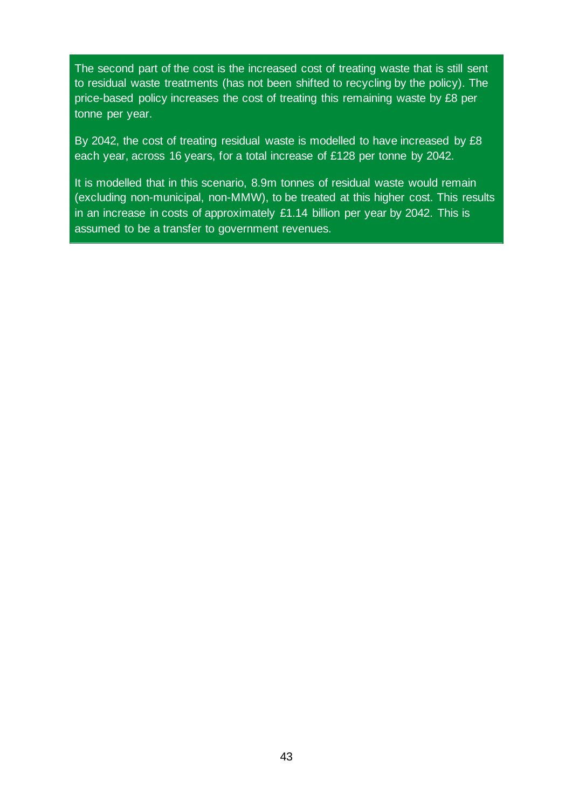The second part of the cost is the increased cost of treating waste that is still sent to residual waste treatments (has not been shifted to recycling by the policy). The price-based policy increases the cost of treating this remaining waste by £8 per tonne per year.

By 2042, the cost of treating residual waste is modelled to have increased by £8 each year, across 16 years, for a total increase of £128 per tonne by 2042.

It is modelled that in this scenario, 8.9m tonnes of residual waste would remain (excluding non-municipal, non-MMW), to be treated at this higher cost. This results in an increase in costs of approximately £1.14 billion per year by 2042. This is assumed to be a transfer to government revenues.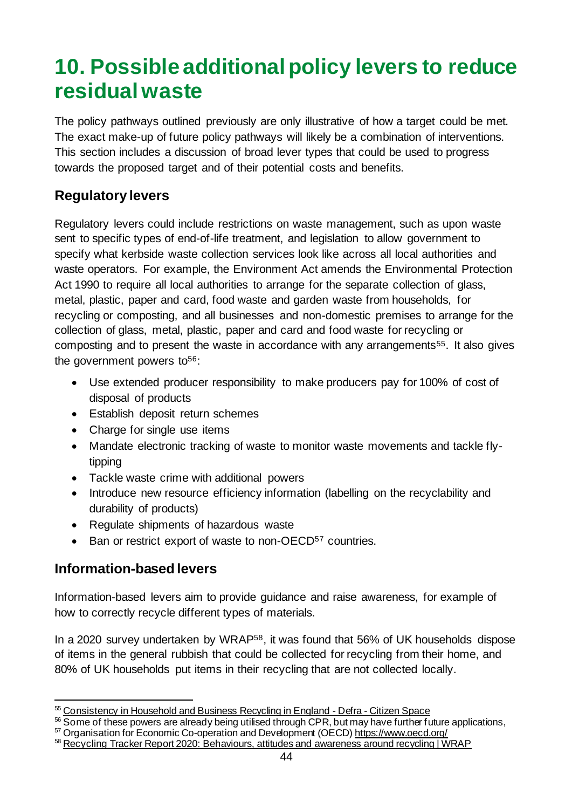## <span id="page-43-0"></span>**10. Possible additional policy levers to reduce residual waste**

The policy pathways outlined previously are only illustrative of how a target could be met*.* The exact make-up of future policy pathways will likely be a combination of interventions. This section includes a discussion of broad lever types that could be used to progress towards the proposed target and of their potential costs and benefits.

### **Regulatory levers**

Regulatory levers could include restrictions on waste management, such as upon waste sent to specific types of end-of-life treatment, and legislation to allow government to specify what kerbside waste collection services look like across all local authorities and waste operators. For example, the Environment Act amends the Environmental Protection Act 1990 to require all local authorities to arrange for the separate collection of glass, metal, plastic, paper and card, food waste and garden waste from households, for recycling or composting, and all businesses and non-domestic premises to arrange for the collection of glass, metal, plastic, paper and card and food waste for recycling or composting and to present the waste in accordance with any arrangements55. It also gives the government powers to  $56$ :

- Use extended producer responsibility to make producers pay for 100% of cost of disposal of products
- Establish deposit return schemes
- Charge for single use items
- Mandate electronic tracking of waste to monitor waste movements and tackle flytipping
- Tackle waste crime with additional powers
- Introduce new resource efficiency information (labelling on the recyclability and durability of products)
- Regulate shipments of hazardous waste
- Ban or restrict export of waste to non-OECD<sup>57</sup> countries.

### **Information-based levers**

Information-based levers aim to provide guidance and raise awareness, for example of how to correctly recycle different types of materials.

In a 2020 survey undertaken by WRAP58, it was found that 56% of UK households dispose of items in the general rubbish that could be collected for recycling from their home, and 80% of UK households put items in their recycling that are not collected locally.

<sup>55</sup> [Consistency in Household and Business Recycling in England -](https://consult.defra.gov.uk/waste-and-recycling/consistency-in-household-and-business-recycling/) Defra - Citizen Space

<sup>56</sup> Some of these powers are already being utilised through CPR, but may have further future applications,

<sup>57</sup> Organisation for Economic Co-operation and Development (OECD[\) https://www.oecd.org/](https://www.oecd.org/)

<sup>58</sup> [Recycling Tracker Report 2020: Behaviours, attitudes and awareness around recycling | WRAP](https://wrap.org.uk/resources/report/recycling-tracker-report-2020-behaviours-attitudes-and-awareness-around-recycling)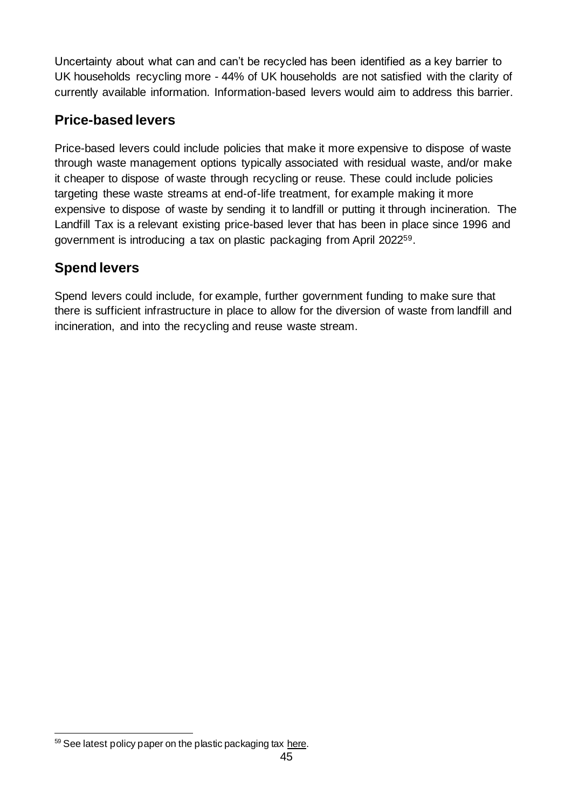Uncertainty about what can and can't be recycled has been identified as a key barrier to UK households recycling more - 44% of UK households are not satisfied with the clarity of currently available information. Information-based levers would aim to address this barrier.

### **Price-based levers**

Price-based levers could include policies that make it more expensive to dispose of waste through waste management options typically associated with residual waste, and/or make it cheaper to dispose of waste through recycling or reuse. These could include policies targeting these waste streams at end-of-life treatment, for example making it more expensive to dispose of waste by sending it to landfill or putting it through incineration. The Landfill Tax is a relevant existing price-based lever that has been in place since 1996 and government is introducing a tax on plastic packaging from April 202259.

### **Spend levers**

Spend levers could include, for example, further government funding to make sure that there is sufficient infrastructure in place to allow for the diversion of waste from landfill and incineration, and into the recycling and reuse waste stream.

 $59$  See latest policy paper on the plastic packaging ta[x here.](https://www.gov.uk/government/publications/introduction-of-plastic-packaging-tax-from-april-2022/introduction-of-plastic-packaging-tax-2021)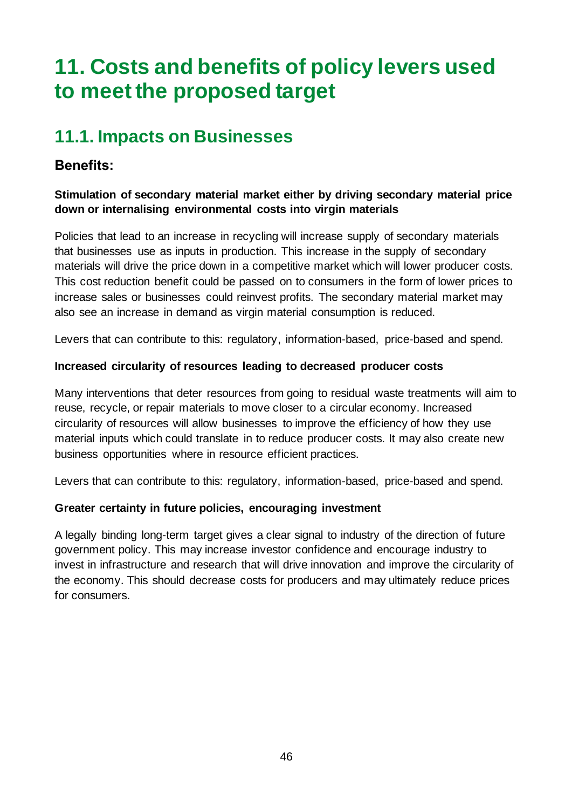## <span id="page-45-0"></span>**11. Costs and benefits of policy levers used to meet the proposed target**

## <span id="page-45-1"></span>**11.1. Impacts on Businesses**

### **Benefits:**

### **Stimulation of secondary material market either by driving secondary material price down or internalising environmental costs into virgin materials**

Policies that lead to an increase in recycling will increase supply of secondary materials that businesses use as inputs in production. This increase in the supply of secondary materials will drive the price down in a competitive market which will lower producer costs. This cost reduction benefit could be passed on to consumers in the form of lower prices to increase sales or businesses could reinvest profits. The secondary material market may also see an increase in demand as virgin material consumption is reduced.

Levers that can contribute to this: regulatory, information-based, price-based and spend.

### **Increased circularity of resources leading to decreased producer costs**

Many interventions that deter resources from going to residual waste treatments will aim to reuse, recycle, or repair materials to move closer to a circular economy. Increased circularity of resources will allow businesses to improve the efficiency of how they use material inputs which could translate in to reduce producer costs. It may also create new business opportunities where in resource efficient practices.

Levers that can contribute to this: regulatory, information-based, price-based and spend.

### **Greater certainty in future policies, encouraging investment**

A legally binding long-term target gives a clear signal to industry of the direction of future government policy. This may increase investor confidence and encourage industry to invest in infrastructure and research that will drive innovation and improve the circularity of the economy. This should decrease costs for producers and may ultimately reduce prices for consumers.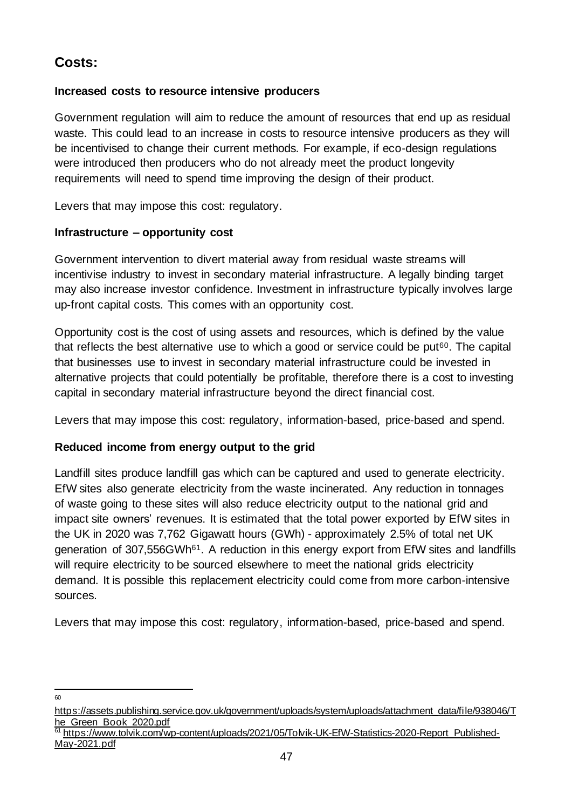### **Costs:**

### **Increased costs to resource intensive producers**

Government regulation will aim to reduce the amount of resources that end up as residual waste. This could lead to an increase in costs to resource intensive producers as they will be incentivised to change their current methods. For example, if eco-design regulations were introduced then producers who do not already meet the product longevity requirements will need to spend time improving the design of their product.

Levers that may impose this cost: regulatory.

### **Infrastructure – opportunity cost**

Government intervention to divert material away from residual waste streams will incentivise industry to invest in secondary material infrastructure. A legally binding target may also increase investor confidence. Investment in infrastructure typically involves large up-front capital costs. This comes with an opportunity cost.

Opportunity cost is the cost of using assets and resources, which is defined by the value that reflects the best alternative use to which a good or service could be put $60$ . The capital that businesses use to invest in secondary material infrastructure could be invested in alternative projects that could potentially be profitable, therefore there is a cost to investing capital in secondary material infrastructure beyond the direct financial cost.

Levers that may impose this cost: regulatory, information-based, price-based and spend.

### **Reduced income from energy output to the grid**

Landfill sites produce landfill gas which can be captured and used to generate electricity. EfW sites also generate electricity from the waste incinerated. Any reduction in tonnages of waste going to these sites will also reduce electricity output to the national grid and impact site owners' revenues. It is estimated that the total power exported by EfW sites in the UK in 2020 was 7,762 Gigawatt hours (GWh) - approximately 2.5% of total net UK generation of 307,556GWh<sup>61</sup>. A reduction in this energy export from EfW sites and landfills will require electricity to be sourced elsewhere to meet the national grids electricity demand. It is possible this replacement electricity could come from more carbon-intensive sources.

Levers that may impose this cost: regulatory, information-based, price-based and spend.

60

[https://assets.publishing.service.gov.uk/government/uploads/system/uploads/attachment\\_data/file/938046/T](https://assets.publishing.service.gov.uk/government/uploads/system/uploads/attachment_data/file/938046/The_Green_Book_2020.pdf) he Green Book 2020.pdf

[https://www.tolvik.com/wp-content/uploads/2021/05/Tolvik-UK-EfW-Statistics-2020-Report\\_Published-](https://www.tolvik.com/wp-content/uploads/2021/05/Tolvik-UK-EfW-Statistics-2020-Report_Published-May-2021.pdf)[May-2021.pdf](https://www.tolvik.com/wp-content/uploads/2021/05/Tolvik-UK-EfW-Statistics-2020-Report_Published-May-2021.pdf)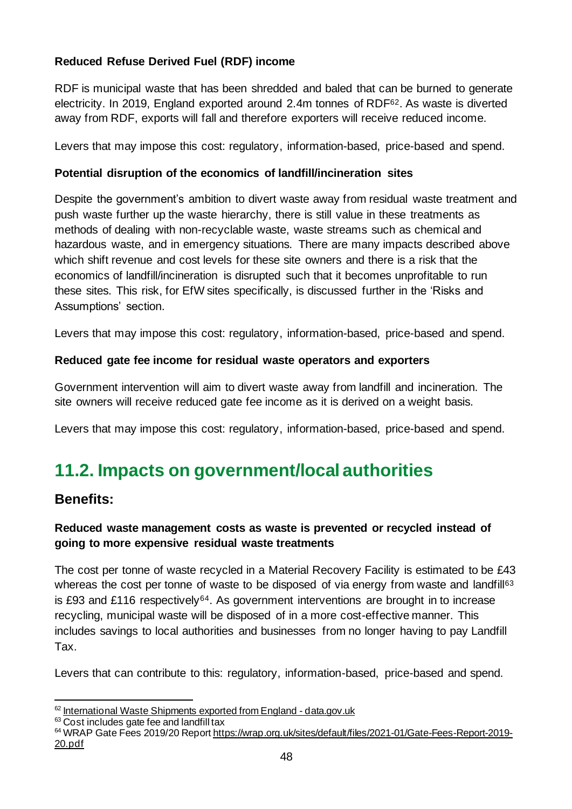### **Reduced Refuse Derived Fuel (RDF) income**

RDF is municipal waste that has been shredded and baled that can be burned to generate electricity. In 2019, England exported around 2.4m tonnes of RDF62. As waste is diverted away from RDF, exports will fall and therefore exporters will receive reduced income.

Levers that may impose this cost: regulatory, information-based, price-based and spend.

#### **Potential disruption of the economics of landfill/incineration sites**

Despite the government's ambition to divert waste away from residual waste treatment and push waste further up the waste hierarchy, there is still value in these treatments as methods of dealing with non-recyclable waste, waste streams such as chemical and hazardous waste, and in emergency situations. There are many impacts described above which shift revenue and cost levels for these site owners and there is a risk that the economics of landfill/incineration is disrupted such that it becomes unprofitable to run these sites. This risk, for EfW sites specifically, is discussed further in the 'Risks and Assumptions' section.

Levers that may impose this cost: regulatory, information-based, price-based and spend.

### **Reduced gate fee income for residual waste operators and exporters**

Government intervention will aim to divert waste away from landfill and incineration. The site owners will receive reduced gate fee income as it is derived on a weight basis.

Levers that may impose this cost: regulatory, information-based, price-based and spend.

## <span id="page-47-0"></span>**11.2. Impacts on government/local authorities**

### **Benefits:**

### **Reduced waste management costs as waste is prevented or recycled instead of going to more expensive residual waste treatments**

The cost per tonne of waste recycled in a Material Recovery Facility is estimated to be £43 whereas the cost per tonne of waste to be disposed of via energy from waste and landfill<sup>63</sup> is £93 and £116 respectively<sup>64</sup>. As government interventions are brought in to increase recycling, municipal waste will be disposed of in a more cost-effective manner. This includes savings to local authorities and businesses from no longer having to pay Landfill Tax.

Levers that can contribute to this: regulatory, information-based, price-based and spend.

<sup>62</sup> [International Waste Shipments exported from England -](https://data.gov.uk/dataset/5ffdf701-05c2-43b8-ba1e-e65580bbcc08/international-waste-shipments-exported-from-england) data.gov.uk

 $63$  Cost includes gate fee and landfill tax

<sup>64</sup> WRAP Gate Fees 2019/20 Repor[t https://wrap.org.uk/sites/default/files/2021-01/Gate-Fees-Report-2019-](https://wrap.org.uk/sites/default/files/2021-01/Gate-Fees-Report-2019-20.pdf) [20.pdf](https://wrap.org.uk/sites/default/files/2021-01/Gate-Fees-Report-2019-20.pdf)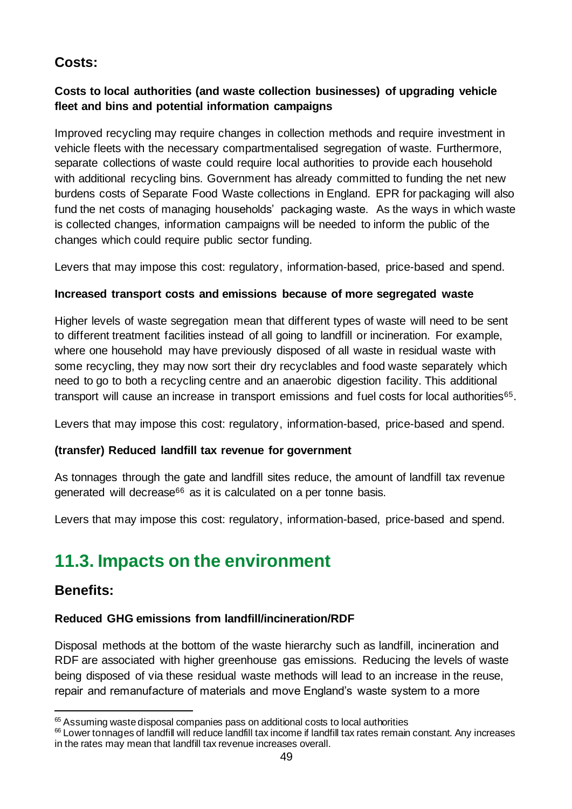### **Costs:**

### **Costs to local authorities (and waste collection businesses) of upgrading vehicle fleet and bins and potential information campaigns**

Improved recycling may require changes in collection methods and require investment in vehicle fleets with the necessary compartmentalised segregation of waste. Furthermore, separate collections of waste could require local authorities to provide each household with additional recycling bins. Government has already committed to funding the net new burdens costs of Separate Food Waste collections in England. EPR for packaging will also fund the net costs of managing households' packaging waste. As the ways in which waste is collected changes, information campaigns will be needed to inform the public of the changes which could require public sector funding.

Levers that may impose this cost: regulatory, information-based, price-based and spend.

### **Increased transport costs and emissions because of more segregated waste**

Higher levels of waste segregation mean that different types of waste will need to be sent to different treatment facilities instead of all going to landfill or incineration. For example, where one household may have previously disposed of all waste in residual waste with some recycling, they may now sort their dry recyclables and food waste separately which need to go to both a recycling centre and an anaerobic digestion facility. This additional transport will cause an increase in transport emissions and fuel costs for local authorities<sup>65</sup>.

Levers that may impose this cost: regulatory, information-based, price-based and spend.

### **(transfer) Reduced landfill tax revenue for government**

As tonnages through the gate and landfill sites reduce, the amount of landfill tax revenue generated will decrease<sup>66</sup> as it is calculated on a per tonne basis.

Levers that may impose this cost: regulatory, information-based, price-based and spend.

## <span id="page-48-0"></span>**11.3. Impacts on the environment**

### **Benefits:**

### **Reduced GHG emissions from landfill/incineration/RDF**

Disposal methods at the bottom of the waste hierarchy such as landfill, incineration and RDF are associated with higher greenhouse gas emissions. Reducing the levels of waste being disposed of via these residual waste methods will lead to an increase in the reuse, repair and remanufacture of materials and move England's waste system to a more

<sup>65</sup> Assuming waste disposal companies pass on additional costs to local authorities

<sup>&</sup>lt;sup>66</sup> Lower tonnages of landfill will reduce landfill tax income if landfill tax rates remain constant. Any increases in the rates may mean that landfill tax revenue increases overall.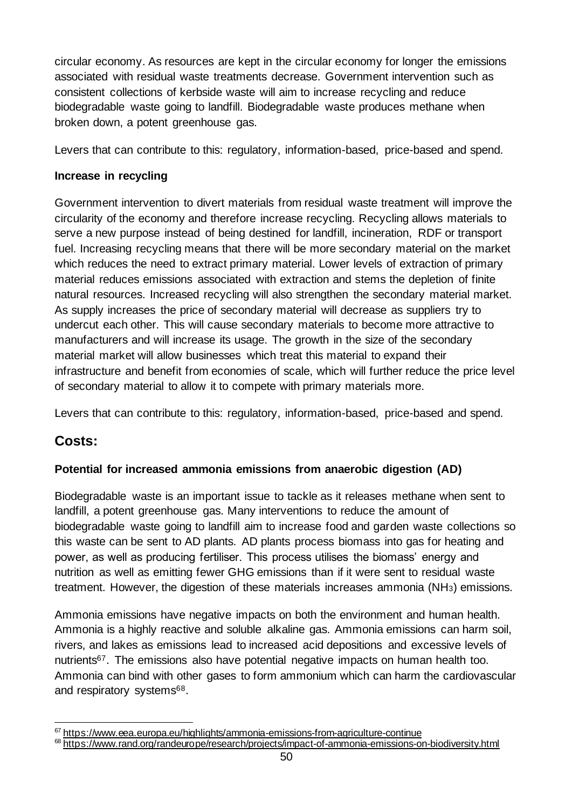circular economy. As resources are kept in the circular economy for longer the emissions associated with residual waste treatments decrease. Government intervention such as consistent collections of kerbside waste will aim to increase recycling and reduce biodegradable waste going to landfill. Biodegradable waste produces methane when broken down, a potent greenhouse gas.

Levers that can contribute to this: regulatory, information-based, price-based and spend.

#### **Increase in recycling**

Government intervention to divert materials from residual waste treatment will improve the circularity of the economy and therefore increase recycling. Recycling allows materials to serve a new purpose instead of being destined for landfill, incineration, RDF or transport fuel. Increasing recycling means that there will be more secondary material on the market which reduces the need to extract primary material. Lower levels of extraction of primary material reduces emissions associated with extraction and stems the depletion of finite natural resources. Increased recycling will also strengthen the secondary material market. As supply increases the price of secondary material will decrease as suppliers try to undercut each other. This will cause secondary materials to become more attractive to manufacturers and will increase its usage. The growth in the size of the secondary material market will allow businesses which treat this material to expand their infrastructure and benefit from economies of scale, which will further reduce the price level of secondary material to allow it to compete with primary materials more.

Levers that can contribute to this: regulatory, information-based, price-based and spend.

### **Costs:**

#### **Potential for increased ammonia emissions from anaerobic digestion (AD)**

Biodegradable waste is an important issue to tackle as it releases methane when sent to landfill, a potent greenhouse gas. Many interventions to reduce the amount of biodegradable waste going to landfill aim to increase food and garden waste collections so this waste can be sent to AD plants. AD plants process biomass into gas for heating and power, as well as producing fertiliser. This process utilises the biomass' energy and nutrition as well as emitting fewer GHG emissions than if it were sent to residual waste treatment. However, the digestion of these materials increases ammonia (NH3) emissions.

Ammonia emissions have negative impacts on both the environment and human health. Ammonia is a highly reactive and soluble alkaline gas. Ammonia emissions can harm soil, rivers, and lakes as emissions lead to increased acid depositions and excessive levels of nutrients<sup>67</sup>. The emissions also have potential negative impacts on human health too. Ammonia can bind with other gases to form ammonium which can harm the cardiovascular and respiratory systems<sup>68</sup>.

<sup>&</sup>lt;sup>67</sup> <https://www.eea.europa.eu/highlights/ammonia-emissions-from-agriculture-continue>

<sup>68</sup> <https://www.rand.org/randeurope/research/projects/impact-of-ammonia-emissions-on-biodiversity.html>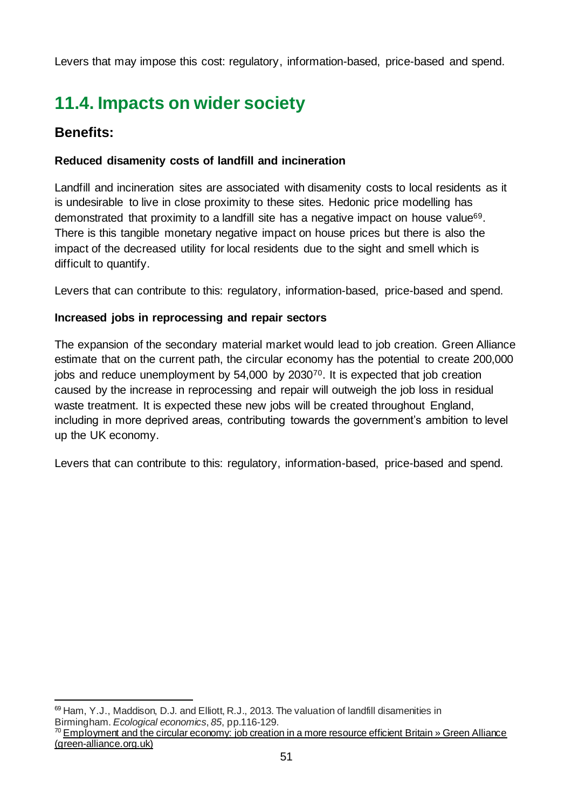Levers that may impose this cost: regulatory, information-based, price-based and spend.

## <span id="page-50-0"></span>**11.4. Impacts on wider society**

### **Benefits:**

### **Reduced disamenity costs of landfill and incineration**

Landfill and incineration sites are associated with disamenity costs to local residents as it is undesirable to live in close proximity to these sites. Hedonic price modelling has demonstrated that proximity to a landfill site has a negative impact on house value69. There is this tangible monetary negative impact on house prices but there is also the impact of the decreased utility for local residents due to the sight and smell which is difficult to quantify.

Levers that can contribute to this: regulatory, information-based, price-based and spend.

### **Increased jobs in reprocessing and repair sectors**

The expansion of the secondary material market would lead to job creation. Green Alliance estimate that on the current path, the circular economy has the potential to create 200,000 jobs and reduce unemployment by 54,000 by 203070. It is expected that job creation caused by the increase in reprocessing and repair will outweigh the job loss in residual waste treatment. It is expected these new jobs will be created throughout England, including in more deprived areas, contributing towards the government's ambition to level up the UK economy.

Levers that can contribute to this: regulatory, information-based, price-based and spend.

 $69$  Ham, Y.J., Maddison, D.J. and Elliott, R.J., 2013. The valuation of landfill disamenities in Birmingham. *Ecological economics*, *85*, pp.116-129.

<sup>&</sup>lt;sup>70</sup> Employment and the circular economy: job creation in a more resource efficient Britain » Green Alliance [\(green-alliance.org.uk\)](https://green-alliance.org.uk/publication/employment-and-the-circular-economy-job-creation-in-a-more-resource-efficient-britain/)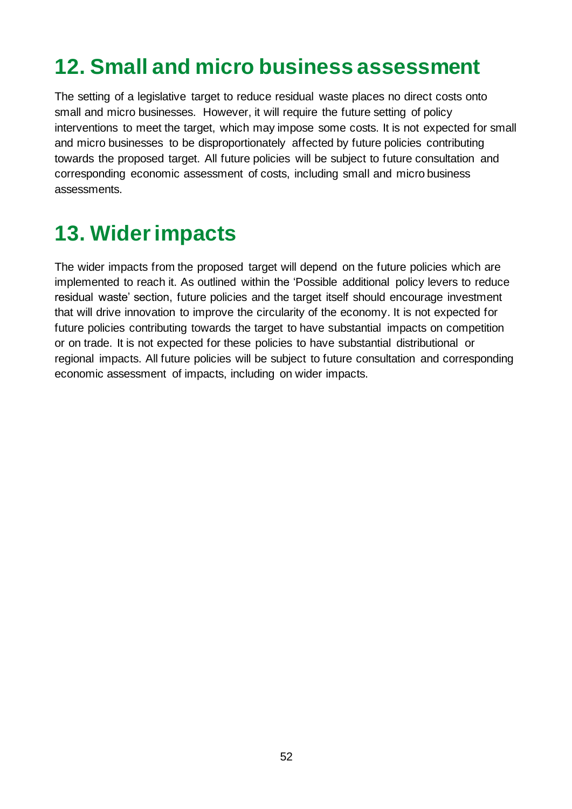## <span id="page-51-0"></span>**12. Small and micro business assessment**

The setting of a legislative target to reduce residual waste places no direct costs onto small and micro businesses. However, it will require the future setting of policy interventions to meet the target, which may impose some costs. It is not expected for small and micro businesses to be disproportionately affected by future policies contributing towards the proposed target. All future policies will be subject to future consultation and corresponding economic assessment of costs, including small and micro business assessments.

## <span id="page-51-1"></span>**13. Wider impacts**

The wider impacts from the proposed target will depend on the future policies which are implemented to reach it. As outlined within the 'Possible additional policy levers to reduce residual waste' section, future policies and the target itself should encourage investment that will drive innovation to improve the circularity of the economy. It is not expected for future policies contributing towards the target to have substantial impacts on competition or on trade. It is not expected for these policies to have substantial distributional or regional impacts. All future policies will be subject to future consultation and corresponding economic assessment of impacts, including on wider impacts.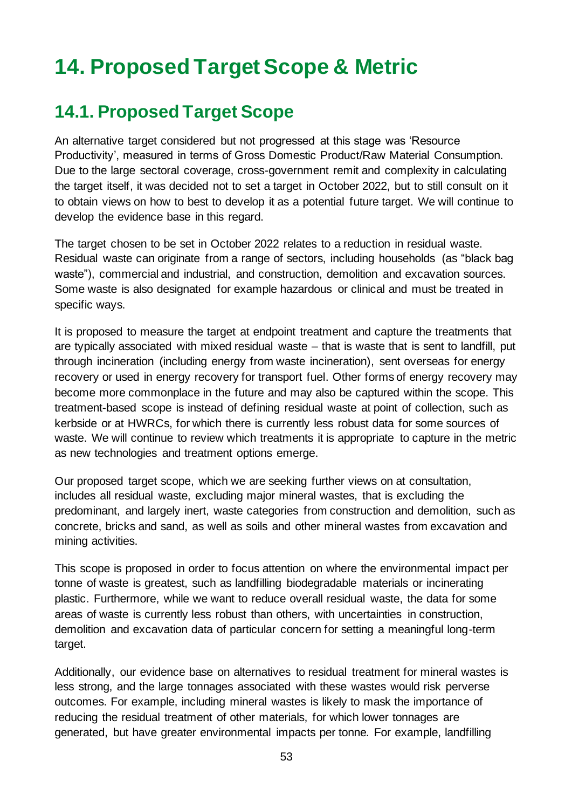## <span id="page-52-0"></span>**14. Proposed Target Scope & Metric**

### <span id="page-52-1"></span>**14.1. Proposed Target Scope**

An alternative target considered but not progressed at this stage was 'Resource Productivity', measured in terms of Gross Domestic Product/Raw Material Consumption. Due to the large sectoral coverage, cross-government remit and complexity in calculating the target itself, it was decided not to set a target in October 2022, but to still consult on it to obtain views on how to best to develop it as a potential future target. We will continue to develop the evidence base in this regard.

The target chosen to be set in October 2022 relates to a reduction in residual waste. Residual waste can originate from a range of sectors, including households (as "black bag waste"), commercial and industrial, and construction, demolition and excavation sources. Some waste is also designated for example hazardous or clinical and must be treated in specific ways.

It is proposed to measure the target at endpoint treatment and capture the treatments that are typically associated with mixed residual waste – that is waste that is sent to landfill, put through incineration (including energy from waste incineration), sent overseas for energy recovery or used in energy recovery for transport fuel. Other forms of energy recovery may become more commonplace in the future and may also be captured within the scope. This treatment-based scope is instead of defining residual waste at point of collection, such as kerbside or at HWRCs, for which there is currently less robust data for some sources of waste. We will continue to review which treatments it is appropriate to capture in the metric as new technologies and treatment options emerge.

Our proposed target scope, which we are seeking further views on at consultation, includes all residual waste, excluding major mineral wastes, that is excluding the predominant, and largely inert, waste categories from construction and demolition, such as concrete, bricks and sand, as well as soils and other mineral wastes from excavation and mining activities.

This scope is proposed in order to focus attention on where the environmental impact per tonne of waste is greatest, such as landfilling biodegradable materials or incinerating plastic. Furthermore, while we want to reduce overall residual waste, the data for some areas of waste is currently less robust than others, with uncertainties in construction, demolition and excavation data of particular concern for setting a meaningful long-term target.

Additionally, our evidence base on alternatives to residual treatment for mineral wastes is less strong, and the large tonnages associated with these wastes would risk perverse outcomes. For example, including mineral wastes is likely to mask the importance of reducing the residual treatment of other materials, for which lower tonnages are generated, but have greater environmental impacts per tonne*.* For example, landfilling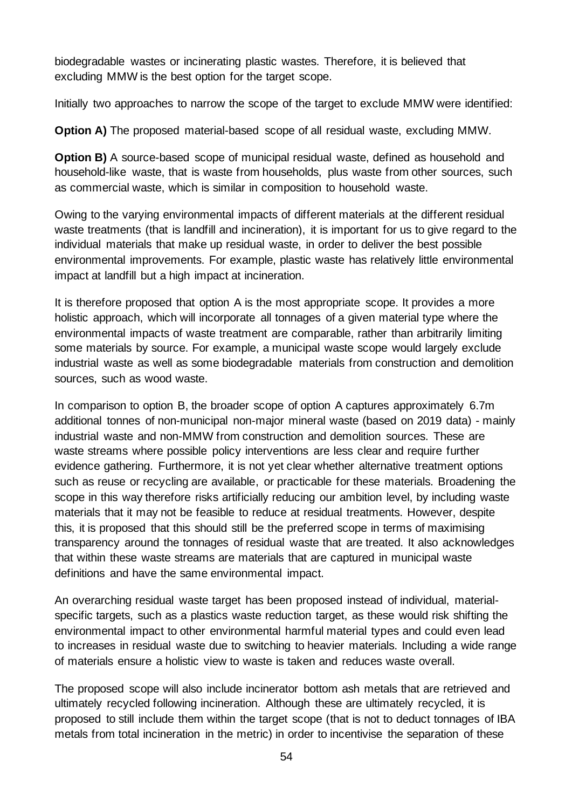biodegradable wastes or incinerating plastic wastes. Therefore, it is believed that excluding MMW is the best option for the target scope.

Initially two approaches to narrow the scope of the target to exclude MMW were identified:

**Option A)** The proposed material-based scope of all residual waste, excluding MMW.

**Option B)** A source-based scope of municipal residual waste, defined as household and household-like waste, that is waste from households, plus waste from other sources, such as commercial waste, which is similar in composition to household waste.

Owing to the varying environmental impacts of different materials at the different residual waste treatments (that is landfill and incineration), it is important for us to give regard to the individual materials that make up residual waste, in order to deliver the best possible environmental improvements. For example, plastic waste has relatively little environmental impact at landfill but a high impact at incineration.

It is therefore proposed that option A is the most appropriate scope. It provides a more holistic approach, which will incorporate all tonnages of a given material type where the environmental impacts of waste treatment are comparable, rather than arbitrarily limiting some materials by source. For example, a municipal waste scope would largely exclude industrial waste as well as some biodegradable materials from construction and demolition sources, such as wood waste.

In comparison to option B, the broader scope of option A captures approximately 6.7m additional tonnes of non-municipal non-major mineral waste (based on 2019 data) - mainly industrial waste and non-MMW from construction and demolition sources. These are waste streams where possible policy interventions are less clear and require further evidence gathering. Furthermore, it is not yet clear whether alternative treatment options such as reuse or recycling are available, or practicable for these materials. Broadening the scope in this way therefore risks artificially reducing our ambition level, by including waste materials that it may not be feasible to reduce at residual treatments. However, despite this, it is proposed that this should still be the preferred scope in terms of maximising transparency around the tonnages of residual waste that are treated. It also acknowledges that within these waste streams are materials that are captured in municipal waste definitions and have the same environmental impact.

An overarching residual waste target has been proposed instead of individual, materialspecific targets, such as a plastics waste reduction target, as these would risk shifting the environmental impact to other environmental harmful material types and could even lead to increases in residual waste due to switching to heavier materials. Including a wide range of materials ensure a holistic view to waste is taken and reduces waste overall.

The proposed scope will also include incinerator bottom ash metals that are retrieved and ultimately recycled following incineration. Although these are ultimately recycled, it is proposed to still include them within the target scope (that is not to deduct tonnages of IBA metals from total incineration in the metric) in order to incentivise the separation of these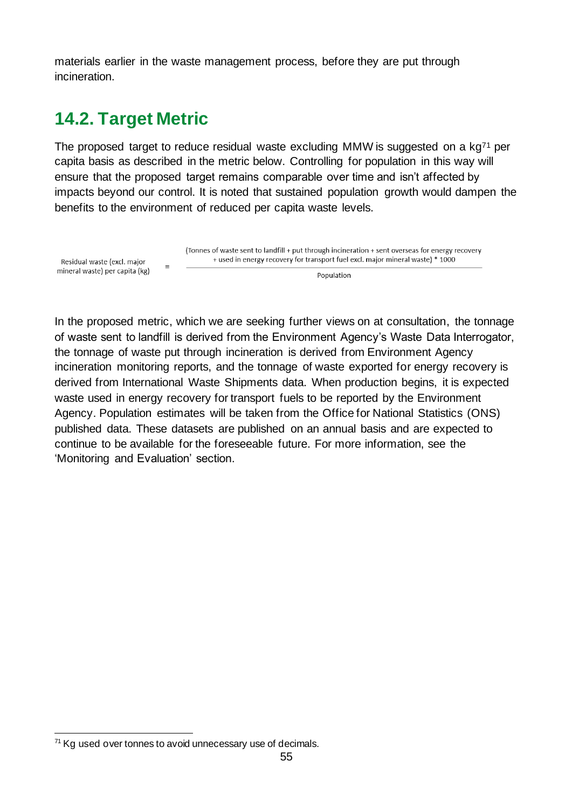materials earlier in the waste management process, before they are put through incineration.

### <span id="page-54-0"></span>**14.2. Target Metric**

The proposed target to reduce residual waste excluding MMW is suggested on a  $kq^{71}$  per capita basis as described in the metric below. Controlling for population in this way will ensure that the proposed target remains comparable over time and isn't affected by impacts beyond our control. It is noted that sustained population growth would dampen the benefits to the environment of reduced per capita waste levels.



In the proposed metric, which we are seeking further views on at consultation, the tonnage of waste sent to landfill is derived from the Environment Agency's Waste Data Interrogator, the tonnage of waste put through incineration is derived from Environment Agency incineration monitoring reports, and the tonnage of waste exported for energy recovery is derived from International Waste Shipments data. When production begins, it is expected waste used in energy recovery for transport fuels to be reported by the Environment Agency. Population estimates will be taken from the Office for National Statistics (ONS) published data. These datasets are published on an annual basis and are expected to continue to be available for the foreseeable future. For more information, see the ['Monit](#page-60-0)oring and Evaluation' section.

 $71$  Kg used over tonnes to avoid unnecessary use of decimals.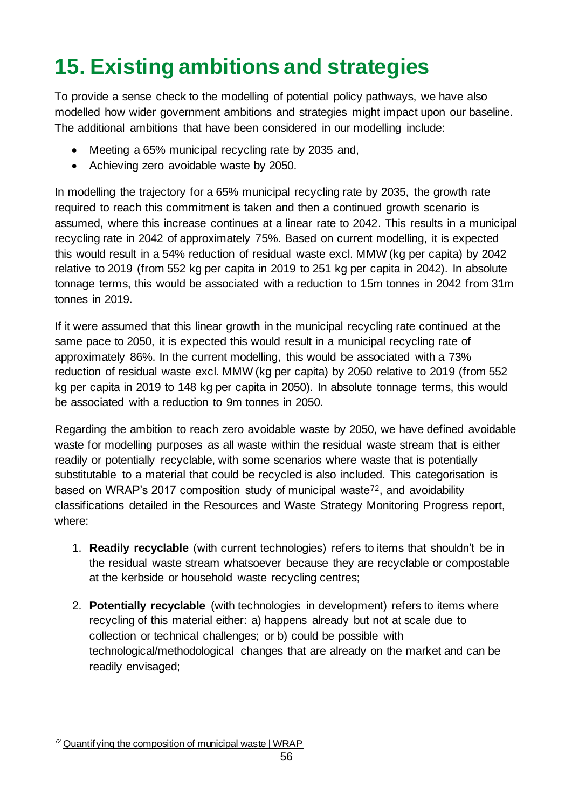# <span id="page-55-0"></span>**15. Existing ambitions and strategies**

To provide a sense check to the modelling of potential policy pathways, we have also modelled how wider government ambitions and strategies might impact upon our baseline. The additional ambitions that have been considered in our modelling include:

- Meeting a 65% municipal recycling rate by 2035 and,
- Achieving zero avoidable waste by 2050.

In modelling the trajectory for a 65% municipal recycling rate by 2035, the growth rate required to reach this commitment is taken and then a continued growth scenario is assumed, where this increase continues at a linear rate to 2042. This results in a municipal recycling rate in 2042 of approximately 75%. Based on current modelling, it is expected this would result in a 54% reduction of residual waste excl. MMW (kg per capita) by 2042 relative to 2019 (from 552 kg per capita in 2019 to 251 kg per capita in 2042). In absolute tonnage terms, this would be associated with a reduction to 15m tonnes in 2042 from 31m tonnes in 2019.

If it were assumed that this linear growth in the municipal recycling rate continued at the same pace to 2050, it is expected this would result in a municipal recycling rate of approximately 86%. In the current modelling, this would be associated with a 73% reduction of residual waste excl. MMW (kg per capita) by 2050 relative to 2019 (from 552 kg per capita in 2019 to 148 kg per capita in 2050). In absolute tonnage terms, this would be associated with a reduction to 9m tonnes in 2050.

Regarding the ambition to reach zero avoidable waste by 2050, we have defined avoidable waste for modelling purposes as all waste within the residual waste stream that is either readily or potentially recyclable, with some scenarios where waste that is potentially substitutable to a material that could be recycled is also included. This categorisation is based on WRAP's 2017 composition study of municipal waste<sup>72</sup>, and avoidability classifications detailed in the Resources and Waste Strategy Monitoring Progress report, where:

- 1. **Readily recyclable** (with current technologies) refers to items that shouldn't be in the residual waste stream whatsoever because they are recyclable or compostable at the kerbside or household waste recycling centres;
- 2. **Potentially recyclable** (with technologies in development) refers to items where recycling of this material either: a) happens already but not at scale due to collection or technical challenges; or b) could be possible with technological/methodological changes that are already on the market and can be readily envisaged;

 $72$  Quantif ying the composition of municipal waste | WRAP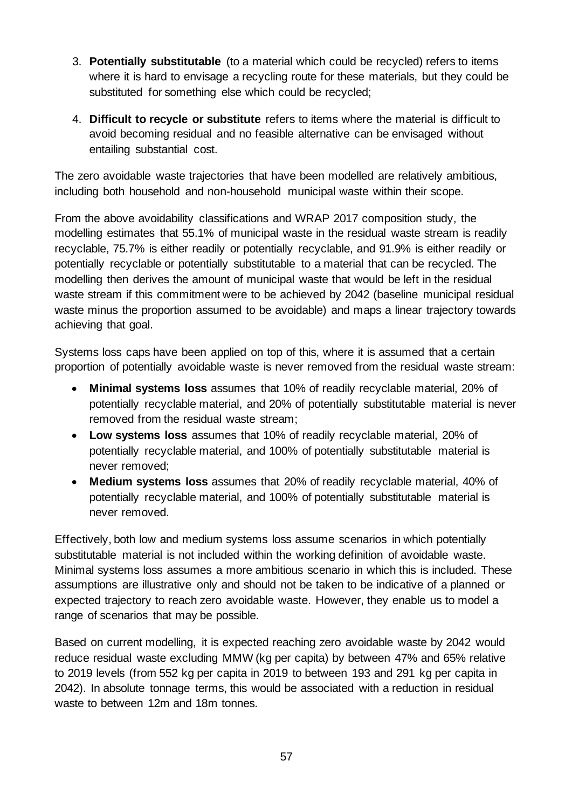- 3. **Potentially substitutable** (to a material which could be recycled) refers to items where it is hard to envisage a recycling route for these materials, but they could be substituted for something else which could be recycled;
- 4. **Difficult to recycle or substitute** refers to items where the material is difficult to avoid becoming residual and no feasible alternative can be envisaged without entailing substantial cost.

The zero avoidable waste trajectories that have been modelled are relatively ambitious, including both household and non-household municipal waste within their scope.

From the above avoidability classifications and WRAP 2017 composition study, the modelling estimates that 55.1% of municipal waste in the residual waste stream is readily recyclable, 75.7% is either readily or potentially recyclable, and 91.9% is either readily or potentially recyclable or potentially substitutable to a material that can be recycled. The modelling then derives the amount of municipal waste that would be left in the residual waste stream if this commitment were to be achieved by 2042 (baseline municipal residual waste minus the proportion assumed to be avoidable) and maps a linear trajectory towards achieving that goal.

Systems loss caps have been applied on top of this, where it is assumed that a certain proportion of potentially avoidable waste is never removed from the residual waste stream:

- **Minimal systems loss** assumes that 10% of readily recyclable material, 20% of potentially recyclable material, and 20% of potentially substitutable material is never removed from the residual waste stream;
- **Low systems loss** assumes that 10% of readily recyclable material, 20% of potentially recyclable material, and 100% of potentially substitutable material is never removed;
- **Medium systems loss** assumes that 20% of readily recyclable material, 40% of potentially recyclable material, and 100% of potentially substitutable material is never removed.

Effectively, both low and medium systems loss assume scenarios in which potentially substitutable material is not included within the working definition of avoidable waste. Minimal systems loss assumes a more ambitious scenario in which this is included. These assumptions are illustrative only and should not be taken to be indicative of a planned or expected trajectory to reach zero avoidable waste. However, they enable us to model a range of scenarios that may be possible.

Based on current modelling, it is expected reaching zero avoidable waste by 2042 would reduce residual waste excluding MMW (kg per capita) by between 47% and 65% relative to 2019 levels (from 552 kg per capita in 2019 to between 193 and 291 kg per capita in 2042). In absolute tonnage terms, this would be associated with a reduction in residual waste to between 12m and 18m tonnes.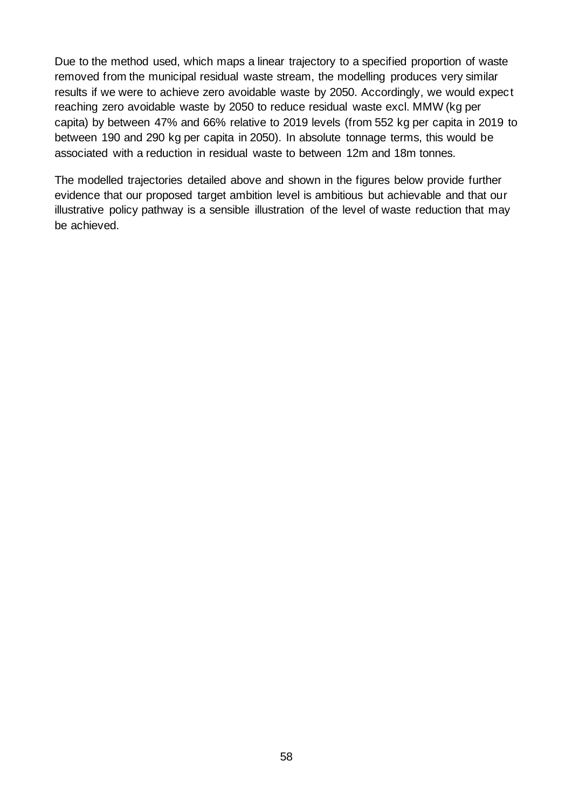Due to the method used, which maps a linear trajectory to a specified proportion of waste removed from the municipal residual waste stream, the modelling produces very similar results if we were to achieve zero avoidable waste by 2050. Accordingly, we would expect reaching zero avoidable waste by 2050 to reduce residual waste excl. MMW (kg per capita) by between 47% and 66% relative to 2019 levels (from 552 kg per capita in 2019 to between 190 and 290 kg per capita in 2050). In absolute tonnage terms, this would be associated with a reduction in residual waste to between 12m and 18m tonnes.

The modelled trajectories detailed above and shown in the figures below provide further evidence that our proposed target ambition level is ambitious but achievable and that our illustrative policy pathway is a sensible illustration of the level of waste reduction that may be achieved.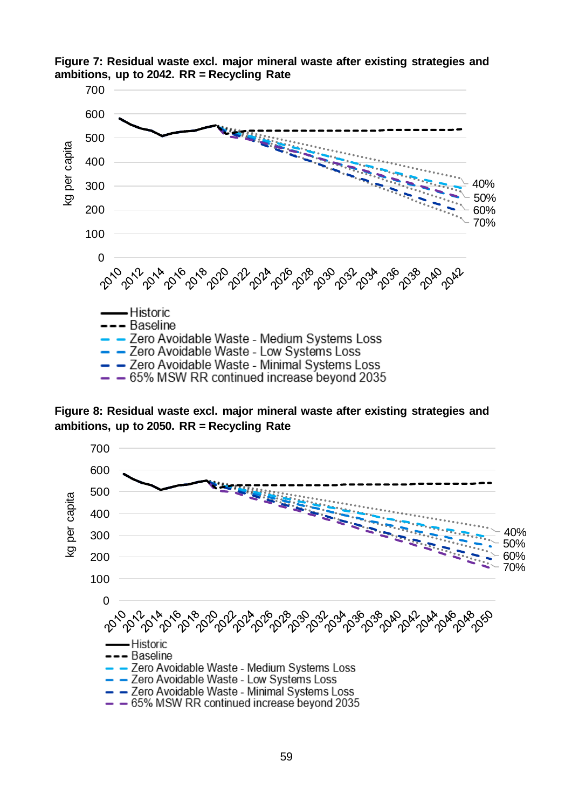

**Figure 7: Residual waste excl. major mineral waste after existing strategies and ambitions, up to 2042. RR = Recycling Rate**

**Figure 8: Residual waste excl. major mineral waste after existing strategies and ambitions, up to 2050. RR = Recycling Rate**

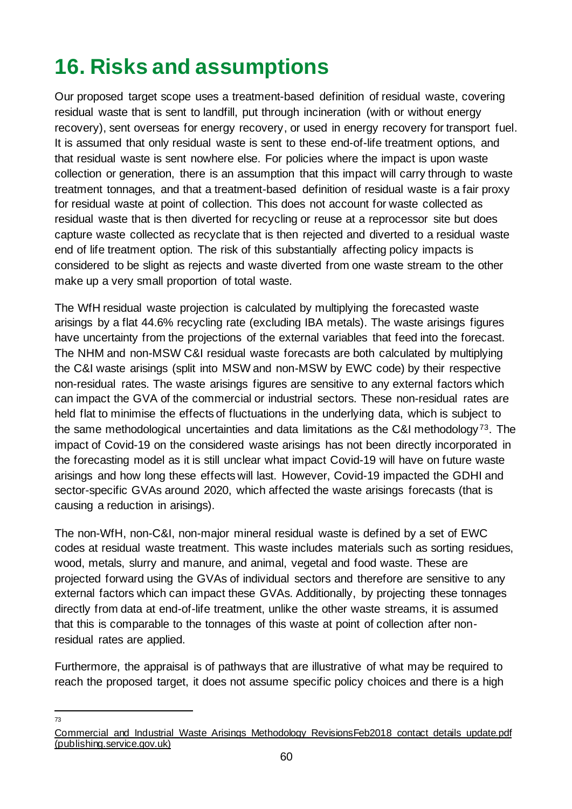## <span id="page-59-0"></span>**16. Risks and assumptions**

Our proposed target scope uses a treatment-based definition of residual waste, covering residual waste that is sent to landfill, put through incineration (with or without energy recovery), sent overseas for energy recovery, or used in energy recovery for transport fuel. It is assumed that only residual waste is sent to these end-of-life treatment options, and that residual waste is sent nowhere else. For policies where the impact is upon waste collection or generation, there is an assumption that this impact will carry through to waste treatment tonnages, and that a treatment-based definition of residual waste is a fair proxy for residual waste at point of collection. This does not account for waste collected as residual waste that is then diverted for recycling or reuse at a reprocessor site but does capture waste collected as recyclate that is then rejected and diverted to a residual waste end of life treatment option. The risk of this substantially affecting policy impacts is considered to be slight as rejects and waste diverted from one waste stream to the other make up a very small proportion of total waste.

The WfH residual waste projection is calculated by multiplying the forecasted waste arisings by a flat 44.6% recycling rate (excluding IBA metals). The waste arisings figures have uncertainty from the projections of the external variables that feed into the forecast. The NHM and non-MSW C&I residual waste forecasts are both calculated by multiplying the C&I waste arisings (split into MSW and non-MSW by EWC code) by their respective non-residual rates. The waste arisings figures are sensitive to any external factors which can impact the GVA of the commercial or industrial sectors. These non-residual rates are held flat to minimise the effects of fluctuations in the underlying data, which is subject to the same methodological uncertainties and data limitations as the C&I methodology <sup>73</sup>. The impact of Covid-19 on the considered waste arisings has not been directly incorporated in the forecasting model as it is still unclear what impact Covid-19 will have on future waste arisings and how long these effects will last. However, Covid-19 impacted the GDHI and sector-specific GVAs around 2020, which affected the waste arisings forecasts (that is causing a reduction in arisings).

The non-WfH, non-C&I, non-major mineral residual waste is defined by a set of EWC codes at residual waste treatment. This waste includes materials such as sorting residues, wood, metals, slurry and manure, and animal, vegetal and food waste. These are projected forward using the GVAs of individual sectors and therefore are sensitive to any external factors which can impact these GVAs. Additionally, by projecting these tonnages directly from data at end-of-life treatment, unlike the other waste streams, it is assumed that this is comparable to the tonnages of this waste at point of collection after nonresidual rates are applied.

Furthermore, the appraisal is of pathways that are illustrative of what may be required to reach the proposed target, it does not assume specific policy choices and there is a high

73

Commercial and Industrial Waste Arisings Methodology RevisionsFeb2018 contact details update.pdf [\(publishing.service.gov.uk\)](https://assets.publishing.service.gov.uk/government/uploads/system/uploads/attachment_data/file/1002247/Commercial_and_Industrial_Waste_Arisings_Methodology_RevisionsFeb2018_contact_details_update.pdf)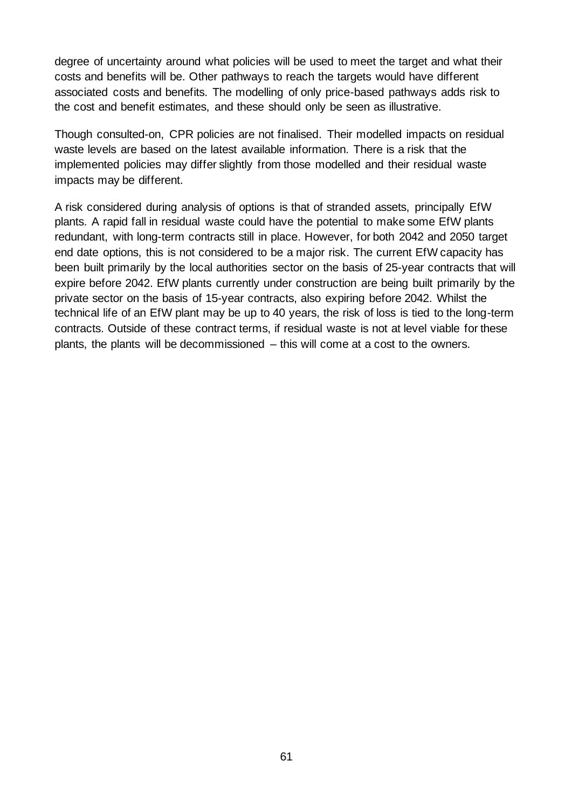degree of uncertainty around what policies will be used to meet the target and what their costs and benefits will be. Other pathways to reach the targets would have different associated costs and benefits. The modelling of only price-based pathways adds risk to the cost and benefit estimates, and these should only be seen as illustrative.

Though consulted-on, CPR policies are not finalised. Their modelled impacts on residual waste levels are based on the latest available information. There is a risk that the implemented policies may differ slightly from those modelled and their residual waste impacts may be different.

<span id="page-60-0"></span>A risk considered during analysis of options is that of stranded assets, principally EfW plants. A rapid fall in residual waste could have the potential to make some EfW plants redundant, with long-term contracts still in place. However, for both 2042 and 2050 target end date options, this is not considered to be a major risk. The current EfW capacity has been built primarily by the local authorities sector on the basis of 25-year contracts that will expire before 2042. EfW plants currently under construction are being built primarily by the private sector on the basis of 15-year contracts, also expiring before 2042. Whilst the technical life of an EfW plant may be up to 40 years, the risk of loss is tied to the long-term contracts. Outside of these contract terms, if residual waste is not at level viable for these plants, the plants will be decommissioned – this will come at a cost to the owners.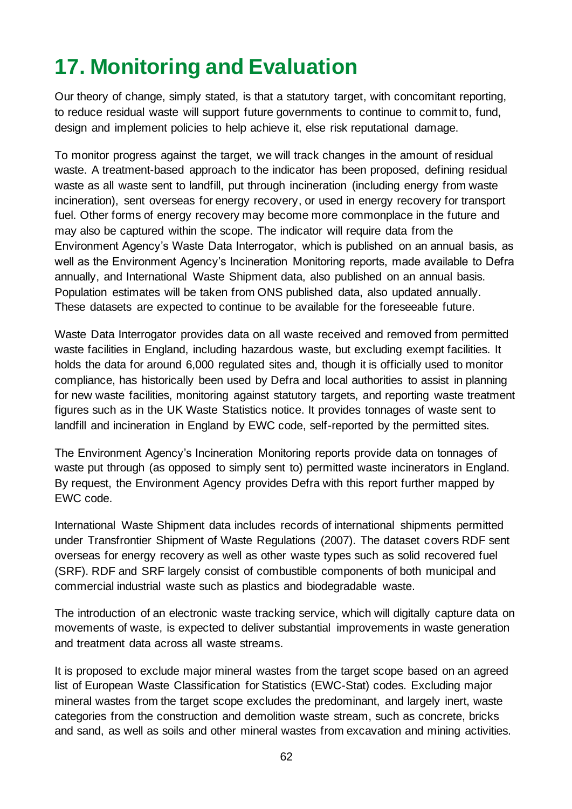## <span id="page-61-0"></span>**17. Monitoring and Evaluation**

Our theory of change, simply stated, is that a statutory target, with concomitant reporting, to reduce residual waste will support future governments to continue to commit to, fund, design and implement policies to help achieve it, else risk reputational damage.

To monitor progress against the target, we will track changes in the amount of residual waste. A treatment-based approach to the indicator has been proposed, defining residual waste as all waste sent to landfill, put through incineration (including energy from waste incineration), sent overseas for energy recovery, or used in energy recovery for transport fuel. Other forms of energy recovery may become more commonplace in the future and may also be captured within the scope. The indicator will require data from the Environment Agency's Waste Data Interrogator, which is published on an annual basis, as well as the Environment Agency's Incineration Monitoring reports, made available to Defra annually, and International Waste Shipment data, also published on an annual basis. Population estimates will be taken from ONS published data, also updated annually. These datasets are expected to continue to be available for the foreseeable future.

Waste Data Interrogator provides data on all waste received and removed from permitted waste facilities in England, including hazardous waste, but excluding exempt facilities. It holds the data for around 6,000 regulated sites and, though it is officially used to monitor compliance, has historically been used by Defra and local authorities to assist in planning for new waste facilities, monitoring against statutory targets, and reporting waste treatment figures such as in the UK Waste Statistics notice. It provides tonnages of waste sent to landfill and incineration in England by EWC code, self-reported by the permitted sites.

The Environment Agency's Incineration Monitoring reports provide data on tonnages of waste put through (as opposed to simply sent to) permitted waste incinerators in England. By request, the Environment Agency provides Defra with this report further mapped by EWC code.

International Waste Shipment data includes records of international shipments permitted under Transfrontier Shipment of Waste Regulations (2007). The dataset covers RDF sent overseas for energy recovery as well as other waste types such as solid recovered fuel (SRF). RDF and SRF largely consist of combustible components of both municipal and commercial industrial waste such as plastics and biodegradable waste.

The introduction of an electronic waste tracking service, which will digitally capture data on movements of waste, is expected to deliver substantial improvements in waste generation and treatment data across all waste streams.

It is proposed to exclude major mineral wastes from the target scope based on an agreed list of European Waste Classification for Statistics (EWC-Stat) codes. Excluding major mineral wastes from the target scope excludes the predominant, and largely inert, waste categories from the construction and demolition waste stream, such as concrete, bricks and sand, as well as soils and other mineral wastes from excavation and mining activities.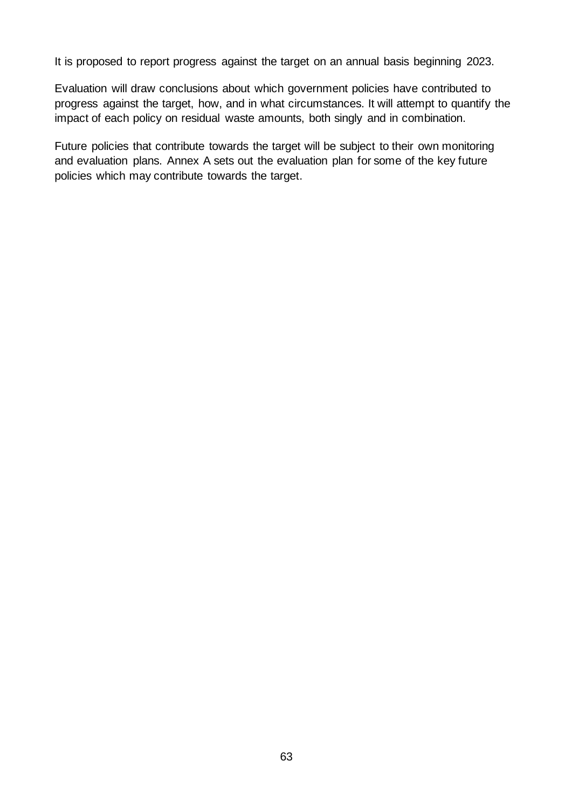It is proposed to report progress against the target on an annual basis beginning 2023.

Evaluation will draw conclusions about which government policies have contributed to progress against the target, how, and in what circumstances. It will attempt to quantify the impact of each policy on residual waste amounts, both singly and in combination.

Future policies that contribute towards the target will be subject to their own monitoring and evaluation plans. Annex A sets out the evaluation plan for some of the key future policies which may contribute towards the target.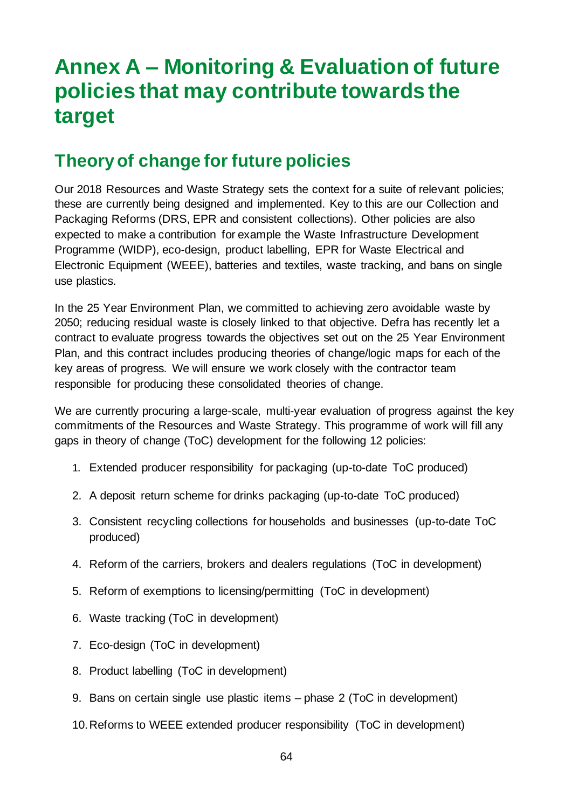## <span id="page-63-0"></span>**Annex A – Monitoring & Evaluation of future policies that may contribute towards the target**

### <span id="page-63-1"></span>**Theory of change for future policies**

Our 2018 Resources and Waste Strategy sets the context for a suite of relevant policies; these are currently being designed and implemented. Key to this are our Collection and Packaging Reforms (DRS, EPR and consistent collections). Other policies are also expected to make a contribution for example the Waste Infrastructure Development Programme (WIDP), eco-design, product labelling, EPR for Waste Electrical and Electronic Equipment (WEEE), batteries and textiles, waste tracking, and bans on single use plastics.

In the 25 Year Environment Plan, we committed to achieving zero avoidable waste by 2050; reducing residual waste is closely linked to that objective. Defra has recently let a contract to evaluate progress towards the objectives set out on the 25 Year Environment Plan, and this contract includes producing theories of change/logic maps for each of the key areas of progress. We will ensure we work closely with the contractor team responsible for producing these consolidated theories of change.

We are currently procuring a large-scale, multi-year evaluation of progress against the key commitments of the Resources and Waste Strategy. This programme of work will fill any gaps in theory of change (ToC) development for the following 12 policies:

- 1. Extended producer responsibility for packaging (up-to-date ToC produced)
- 2. A deposit return scheme for drinks packaging (up-to-date ToC produced)
- 3. Consistent recycling collections for households and businesses (up-to-date ToC produced)
- 4. Reform of the carriers, brokers and dealers regulations (ToC in development)
- 5. Reform of exemptions to licensing/permitting (ToC in development)
- 6. Waste tracking (ToC in development)
- 7. Eco-design (ToC in development)
- 8. Product labelling (ToC in development)
- 9. Bans on certain single use plastic items phase 2 (ToC in development)
- 10.Reforms to WEEE extended producer responsibility (ToC in development)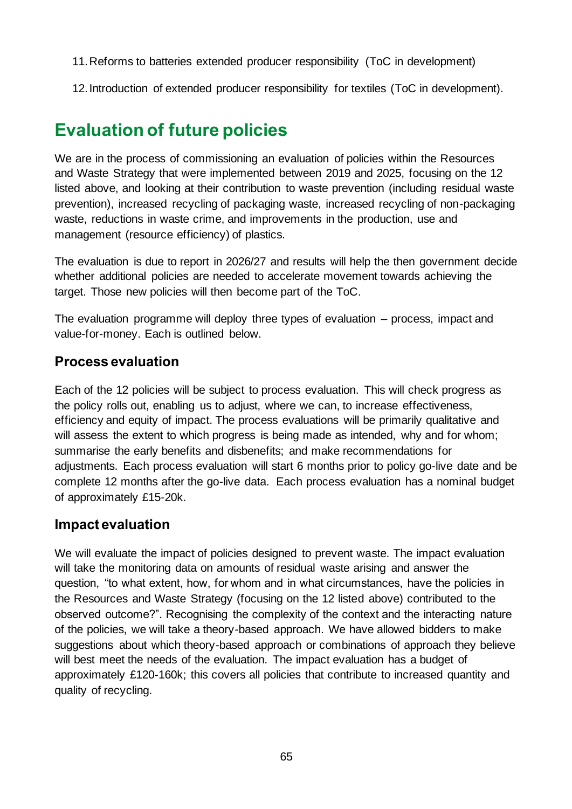- 11.Reforms to batteries extended producer responsibility (ToC in development)
- 12.Introduction of extended producer responsibility for textiles (ToC in development).

### <span id="page-64-0"></span>**Evaluation of future policies**

We are in the process of commissioning an evaluation of policies within the Resources and Waste Strategy that were implemented between 2019 and 2025, focusing on the 12 listed above, and looking at their contribution to waste prevention (including residual waste prevention), increased recycling of packaging waste, increased recycling of non-packaging waste, reductions in waste crime, and improvements in the production, use and management (resource efficiency) of plastics.

The evaluation is due to report in 2026/27 and results will help the then government decide whether additional policies are needed to accelerate movement towards achieving the target. Those new policies will then become part of the ToC.

The evaluation programme will deploy three types of evaluation – process, impact and value-for-money. Each is outlined below.

### **Process evaluation**

Each of the 12 policies will be subject to process evaluation. This will check progress as the policy rolls out, enabling us to adjust, where we can, to increase effectiveness, efficiency and equity of impact. The process evaluations will be primarily qualitative and will assess the extent to which progress is being made as intended, why and for whom; summarise the early benefits and disbenefits; and make recommendations for adjustments. Each process evaluation will start 6 months prior to policy go-live date and be complete 12 months after the go-live data. Each process evaluation has a nominal budget of approximately £15-20k.

### **Impact evaluation**

We will evaluate the impact of policies designed to prevent waste. The impact evaluation will take the monitoring data on amounts of residual waste arising and answer the question, "to what extent, how, for whom and in what circumstances, have the policies in the Resources and Waste Strategy (focusing on the 12 listed above) contributed to the observed outcome?". Recognising the complexity of the context and the interacting nature of the policies, we will take a theory-based approach. We have allowed bidders to make suggestions about which theory-based approach or combinations of approach they believe will best meet the needs of the evaluation. The impact evaluation has a budget of approximately £120-160k; this covers all policies that contribute to increased quantity and quality of recycling.